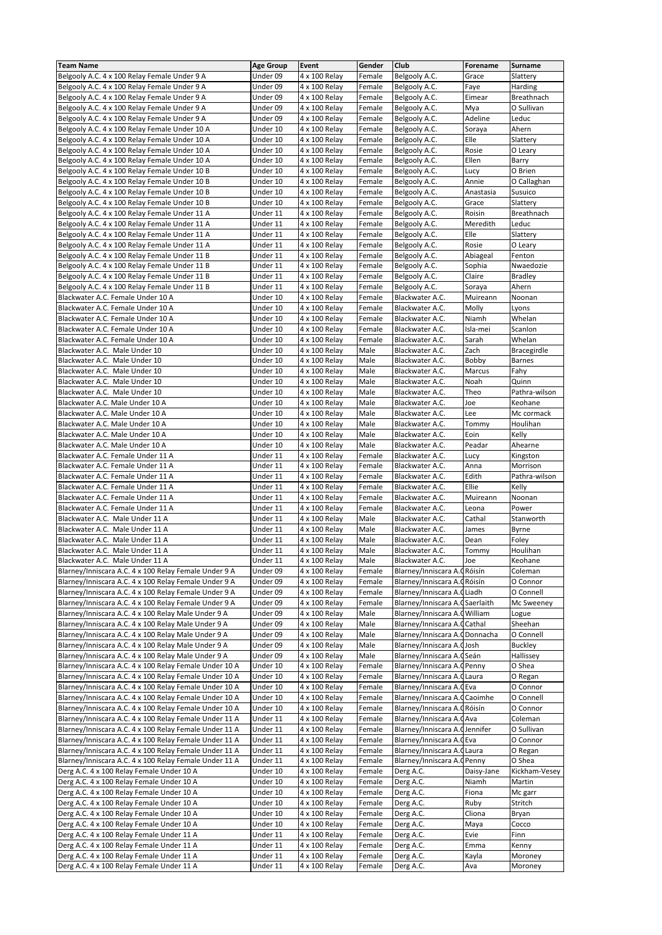| <b>Team Name</b>                                                       | <b>Age Group</b>     | Event                          | Gender           | Club                               | Forename          | Surname            |
|------------------------------------------------------------------------|----------------------|--------------------------------|------------------|------------------------------------|-------------------|--------------------|
| Belgooly A.C. 4 x 100 Relay Female Under 9 A                           | Under 09             | 4 x 100 Relay                  | Female           | Belgooly A.C.                      | Grace             | Slattery           |
| Belgooly A.C. 4 x 100 Relay Female Under 9 A                           | Under 09             | 4 x 100 Relay                  | Female           | Belgooly A.C.                      | Faye              | Harding            |
| Belgooly A.C. 4 x 100 Relay Female Under 9 A                           | Under 09             | 4 x 100 Relay                  | Female           | Belgooly A.C.                      | Eimear            | Breathnach         |
| Belgooly A.C. 4 x 100 Relay Female Under 9 A                           | Under 09             | 4 x 100 Relay                  | Female           | Belgooly A.C.                      | Mya               | O Sullivan         |
| Belgooly A.C. 4 x 100 Relay Female Under 9 A                           | Under 09             | 4 x 100 Relay                  | Female           | Belgooly A.C.                      | Adeline           | Leduc              |
| Belgooly A.C. 4 x 100 Relay Female Under 10 A                          | Under 10             | 4 x 100 Relay                  | Female           | Belgooly A.C.                      | Soraya            | Ahern              |
| Belgooly A.C. 4 x 100 Relay Female Under 10 A                          | Under 10             | 4 x 100 Relay                  | Female           | Belgooly A.C.                      | Elle              | Slattery           |
| Belgooly A.C. 4 x 100 Relay Female Under 10 A                          | Under 10             | 4 x 100 Relay                  | Female           | Belgooly A.C.                      | Rosie             | O Leary            |
| Belgooly A.C. 4 x 100 Relay Female Under 10 A                          | Under 10             | 4 x 100 Relay                  | Female           | Belgooly A.C.                      | Ellen             | Barry              |
| Belgooly A.C. 4 x 100 Relay Female Under 10 B                          | Under 10             | 4 x 100 Relay                  | Female           | Belgooly A.C.                      | Lucy              | O Brien            |
| Belgooly A.C. 4 x 100 Relay Female Under 10 B                          | Under 10             | 4 x 100 Relay                  | Female           | Belgooly A.C.                      | Annie             | O Callaghan        |
| Belgooly A.C. 4 x 100 Relay Female Under 10 B                          | Under 10             | 4 x 100 Relay                  | Female           | Belgooly A.C.                      | Anastasia         | Susuico            |
| Belgooly A.C. 4 x 100 Relay Female Under 10 B                          | Under 10             | 4 x 100 Relay                  | Female           | Belgooly A.C.                      | Grace             | Slattery           |
| Belgooly A.C. 4 x 100 Relay Female Under 11 A                          | Under 11             | 4 x 100 Relay                  | Female           | Belgooly A.C.                      | Roisin            | Breathnach         |
| Belgooly A.C. 4 x 100 Relay Female Under 11 A                          | Under 11             | 4 x 100 Relay                  | Female           | Belgooly A.C.                      | Meredith          | Leduc              |
| Belgooly A.C. 4 x 100 Relay Female Under 11 A                          | Under 11             | 4 x 100 Relay                  | Female           | Belgooly A.C.                      | Elle              | Slattery           |
| Belgooly A.C. 4 x 100 Relay Female Under 11 A                          | Under 11             | 4 x 100 Relay                  | Female           | Belgooly A.C.                      | Rosie             | O Leary            |
| Belgooly A.C. 4 x 100 Relay Female Under 11 B                          | Under 11             | 4 x 100 Relay                  | Female           | Belgooly A.C.                      | Abiageal          | Fenton             |
| Belgooly A.C. 4 x 100 Relay Female Under 11 B                          | Under 11             | 4 x 100 Relay                  | Female           | Belgooly A.C.                      | Sophia            | Nwaedozie          |
| Belgooly A.C. 4 x 100 Relay Female Under 11 B                          | Under 11             | 4 x 100 Relay                  | Female           | Belgooly A.C.                      | Claire            | <b>Bradley</b>     |
| Belgooly A.C. 4 x 100 Relay Female Under 11 B                          | Under 11             | 4 x 100 Relay                  | Female           | Belgooly A.C.                      | Soraya            | Ahern              |
| Blackwater A.C. Female Under 10 A                                      | Under 10             | 4 x 100 Relay                  | Female           | Blackwater A.C.                    | Muireann          | Noonan             |
| Blackwater A.C. Female Under 10 A                                      | Under 10             | 4 x 100 Relay                  | Female           | Blackwater A.C.                    | Molly             | Lyons              |
| Blackwater A.C. Female Under 10 A                                      | Under 10             | 4 x 100 Relay                  | Female           | Blackwater A.C.                    | Niamh             | Whelan             |
| Blackwater A.C. Female Under 10 A                                      | Under 10             | 4 x 100 Relay                  | Female           | Blackwater A.C.                    | Isla-mei          | Scanlon            |
| Blackwater A.C. Female Under 10 A                                      | Under 10             | 4 x 100 Relay                  | Female           | Blackwater A.C.                    | Sarah             | Whelan             |
| Blackwater A.C. Male Under 10                                          | Under 10             | 4 x 100 Relay                  | Male             | Blackwater A.C.                    | Zach              | <b>Bracegirdle</b> |
| Blackwater A.C. Male Under 10                                          | Under 10             | 4 x 100 Relav                  | Male             | Blackwater A.C.                    | Bobby             | <b>Barnes</b>      |
| Blackwater A.C. Male Under 10                                          | Under 10             | 4 x 100 Relay                  | Male             | Blackwater A.C.                    | Marcus            | Fahy               |
| Blackwater A.C. Male Under 10                                          | Under 10             | 4 x 100 Relay                  | Male             | Blackwater A.C.                    | Noah              | Quinn              |
| Blackwater A.C. Male Under 10                                          | Under 10             | 4 x 100 Relay                  | Male             | Blackwater A.C.                    | Theo              | Pathra-wilson      |
| Blackwater A.C. Male Under 10 A                                        | Under 10             | 4 x 100 Relay                  | Male             | Blackwater A.C.                    | Joe               | Keohane            |
| Blackwater A.C. Male Under 10 A                                        | Under 10             | 4 x 100 Relay                  | Male             | Blackwater A.C.                    | Lee               | Mc cormack         |
| Blackwater A.C. Male Under 10 A                                        | Under 10             | 4 x 100 Relay                  | Male             | Blackwater A.C.                    | Tommy             | Houlihan           |
| Blackwater A.C. Male Under 10 A                                        | Under 10             | 4 x 100 Relay                  | Male             | Blackwater A.C.                    | Eoin              | Kelly              |
| Blackwater A.C. Male Under 10 A                                        | Under 10             | 4 x 100 Relay                  | Male             | Blackwater A.C.                    | Peadar            | Ahearne            |
| Blackwater A.C. Female Under 11 A                                      | Under 11             | 4 x 100 Relay                  | Female           | Blackwater A.C.                    | Lucy              | Kingston           |
| Blackwater A.C. Female Under 11 A                                      | Under 11             | 4 x 100 Relay                  | Female           | Blackwater A.C.                    | Anna              | Morrison           |
| Blackwater A.C. Female Under 11 A                                      | Under 11             | 4 x 100 Relay                  | Female           | Blackwater A.C.                    | Edith             | Pathra-wilson      |
| Blackwater A.C. Female Under 11 A                                      | Under 11             | 4 x 100 Relay                  | Female<br>Female | Blackwater A.C.<br>Blackwater A.C. | Ellie<br>Muireann | Kelly<br>Noonan    |
| Blackwater A.C. Female Under 11 A<br>Blackwater A.C. Female Under 11 A | Under 11<br>Under 11 | 4 x 100 Relay                  |                  | Blackwater A.C.                    |                   | Power              |
| Blackwater A.C. Male Under 11 A                                        |                      | 4 x 100 Relay                  | Female<br>Male   | Blackwater A.C.                    | Leona<br>Cathal   | Stanworth          |
| Blackwater A.C. Male Under 11 A                                        | Under 11<br>Under 11 | 4 x 100 Relay<br>4 x 100 Relay | Male             | Blackwater A.C.                    | James             | Byrne              |
| Blackwater A.C. Male Under 11 A                                        | Under 11             | 4 x 100 Relay                  | Male             | Blackwater A.C.                    | Dean              | Foley              |
| Blackwater A.C. Male Under 11 A                                        | Under 11             | 4 x 100 Relay                  | Male             | Blackwater A.C.                    | Tommy             | Houlihan           |
| Blackwater A.C. Male Under 11 A                                        | Under 11             | 4 x 100 Relay                  | Male             | Blackwater A.C.                    | Joe               | Keohane            |
| Blarney/Inniscara A.C. 4 x 100 Relay Female Under 9 A                  | Under 09             | 4 x 100 Relay                  | Female           | Blarney/Inniscara A. CRóisín       |                   | Coleman            |
| Blarney/Inniscara A.C. 4 x 100 Relay Female Under 9 A                  | Under 09             | 4 x 100 Relay                  | Female           | Blarney/Inniscara A. CRóisín       |                   | O Connor           |
| Blarney/Inniscara A.C. 4 x 100 Relay Female Under 9 A                  | Under 09             | 4 x 100 Relay                  | Female           | Blarney/Inniscara A.C Liadh        |                   | O Connell          |
| Blarney/Inniscara A.C. 4 x 100 Relay Female Under 9 A                  | Under 09             | 4 x 100 Relay                  | Female           | Blarney/Inniscara A. Gaerlaith     |                   | Mc Sweeney         |
| Blarney/Inniscara A.C. 4 x 100 Relay Male Under 9 A                    | Under 09             | 4 x 100 Relay                  | Male             | Blarney/Inniscara A. CWilliam      |                   | Logue              |
| Blarney/Inniscara A.C. 4 x 100 Relay Male Under 9 A                    | Under 09             | 4 x 100 Relay                  | Male             | Blarney/Inniscara A. Cathal        |                   | Sheehan            |
| Blarney/Inniscara A.C. 4 x 100 Relay Male Under 9 A                    | Under 09             | 4 x 100 Relay                  | Male             | Blarney/Inniscara A. ODonnacha     |                   | O Connell          |
| Blarney/Inniscara A.C. 4 x 100 Relay Male Under 9 A                    | Under 09             | 4 x 100 Relay                  | Male             | Blarney/Inniscara A. (Josh         |                   | <b>Buckley</b>     |
| Blarney/Inniscara A.C. 4 x 100 Relay Male Under 9 A                    | Under 09             | 4 x 100 Relay                  | Male             | Blarney/Inniscara A. Geán          |                   | Hallissey          |
| Blarney/Inniscara A.C. 4 x 100 Relay Female Under 10 A                 | Under 10             | 4 x 100 Relay                  | Female           | Blarney/Inniscara A. Penny         |                   | O Shea             |
| Blarney/Inniscara A.C. 4 x 100 Relay Female Under 10 A                 | Under 10             | 4 x 100 Relay                  | Female           | Blarney/Inniscara A. CLaura        |                   | O Regan            |
| Blarney/Inniscara A.C. 4 x 100 Relay Female Under 10 A                 | Under 10             | 4 x 100 Relay                  | Female           | Blarney/Inniscara A. GEva          |                   | O Connor           |
| Blarney/Inniscara A.C. 4 x 100 Relay Female Under 10 A                 | Under 10             | 4 x 100 Relay                  | Female           | Blarney/Inniscara A. Caoimhe       |                   | O Connell          |
| Blarney/Inniscara A.C. 4 x 100 Relay Female Under 10 A                 | Under 10             | 4 x 100 Relay                  | Female           | Blarney/Inniscara A. CRóisín       |                   | O Connor           |
| Blarney/Inniscara A.C. 4 x 100 Relay Female Under 11 A                 |                      |                                |                  |                                    |                   |                    |
| Blarney/Inniscara A.C. 4 x 100 Relay Female Under 11 A                 | Under 11             | 4 x 100 Relay                  | Female           | Blarney/Inniscara A. GAva          |                   | Coleman            |
| Blarney/Inniscara A.C. 4 x 100 Relay Female Under 11 A                 | Under 11             | 4 x 100 Relay                  | Female           | Blarney/Inniscara A. Uennifer      |                   | O Sullivan         |
|                                                                        | Under 11             | 4 x 100 Relay                  | Female           | Blarney/Inniscara A. GEva          |                   | O Connor           |
| Blarney/Inniscara A.C. 4 x 100 Relay Female Under 11 A                 | Under 11             | 4 x 100 Relay                  | Female           | Blarney/Inniscara A. QLaura        |                   | O Regan            |
| Blarney/Inniscara A.C. 4 x 100 Relay Female Under 11 A                 | Under 11             | 4 x 100 Relay                  | Female           | Blarney/Inniscara A.C              | Penny             | O Shea             |
| Derg A.C. 4 x 100 Relay Female Under 10 A                              | Under 10             | 4 x 100 Relay                  | Female           | Derg A.C.                          | Daisy-Jane        | Kickham-Vesey      |
| Derg A.C. 4 x 100 Relay Female Under 10 A                              | Under 10             | 4 x 100 Relay                  | Female           | Derg A.C.                          | Niamh             | Martin             |
| Derg A.C. 4 x 100 Relay Female Under 10 A                              | Under 10             | 4 x 100 Relay                  | Female           | Derg A.C.                          | Fiona             | Mc garr            |
| Derg A.C. 4 x 100 Relay Female Under 10 A                              | Under 10             | 4 x 100 Relay                  | Female           | Derg A.C.                          | Ruby              | Stritch            |
| Derg A.C. 4 x 100 Relay Female Under 10 A                              | Under 10             | 4 x 100 Relay                  | Female           | Derg A.C.                          | Cliona            | Bryan              |
| Derg A.C. 4 x 100 Relay Female Under 10 A                              | Under 10             | 4 x 100 Relay                  | Female           | Derg A.C.                          | Maya              | Cocco              |
| Derg A.C. 4 x 100 Relay Female Under 11 A                              | Under 11             | 4 x 100 Relay                  | Female           | Derg A.C.                          | Evie              | Finn               |
| Derg A.C. 4 x 100 Relay Female Under 11 A                              | Under 11             | 4 x 100 Relay                  | Female           | Derg A.C.                          | Emma              | Kenny              |
| Derg A.C. 4 x 100 Relay Female Under 11 A                              | Under 11             | 4 x 100 Relay                  | Female           | Derg A.C.                          | Kayla             | Moroney            |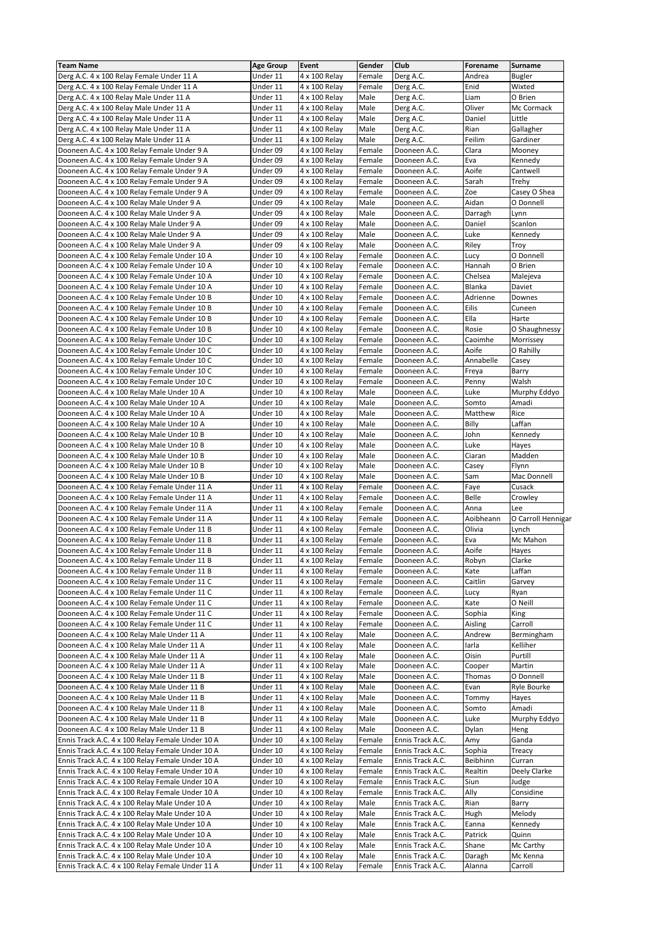| <b>Team Name</b>                                                                                   | <b>Age Group</b>     | Event                          | Gender         | Club                                 | Forename         | Surname             |
|----------------------------------------------------------------------------------------------------|----------------------|--------------------------------|----------------|--------------------------------------|------------------|---------------------|
| Derg A.C. 4 x 100 Relay Female Under 11 A                                                          | Under 11             | 4 x 100 Relay                  | Female         | Derg A.C.                            | Andrea           | Bugler              |
| Derg A.C. 4 x 100 Relay Female Under 11 A                                                          | Under 11             | 4 x 100 Relay                  | Female         | Derg A.C.                            | Enid             | Wixted              |
| Derg A.C. 4 x 100 Relay Male Under 11 A                                                            | Under 11             | 4 x 100 Relay                  | Male           | Derg A.C.                            | Liam             | O Brien             |
| Derg A.C. 4 x 100 Relay Male Under 11 A                                                            | Under 11             | 4 x 100 Relay                  | Male           | Derg A.C.                            | Oliver           | Mc Cormack          |
| Derg A.C. 4 x 100 Relay Male Under 11 A                                                            | Under 11             | 4 x 100 Relay                  | Male           | Derg A.C.                            | Daniel           | Little              |
| Derg A.C. 4 x 100 Relay Male Under 11 A                                                            | Under 11             | 4 x 100 Relay                  | Male           | Derg A.C.                            | Rian             | Gallagher           |
| Derg A.C. 4 x 100 Relay Male Under 11 A                                                            | Under 11             | 4 x 100 Relay                  | Male           | Derg A.C.                            | Feilim           | Gardiner            |
| Dooneen A.C. 4 x 100 Relay Female Under 9 A                                                        | Under 09             | 4 x 100 Relay                  | Female         | Dooneen A.C.                         | Clara            | Mooney              |
| Dooneen A.C. 4 x 100 Relay Female Under 9 A                                                        | Under 09             | 4 x 100 Relay                  | Female         | Dooneen A.C.                         | Eva              | Kennedy             |
| Dooneen A.C. 4 x 100 Relay Female Under 9 A                                                        | Under 09             | 4 x 100 Relay                  | Female         | Dooneen A.C.                         | Aoife            | Cantwell            |
| Dooneen A.C. 4 x 100 Relay Female Under 9 A                                                        | Under 09             | 4 x 100 Relay                  | Female         | Dooneen A.C.                         | Sarah            | Trehy               |
| Dooneen A.C. 4 x 100 Relay Female Under 9 A                                                        | Under 09             | 4 x 100 Relay                  | Female         | Dooneen A.C.                         | Zoe              | Casey O Shea        |
| Dooneen A.C. 4 x 100 Relay Male Under 9 A                                                          | Under 09             | 4 x 100 Relay                  | Male           | Dooneen A.C.                         | Aidan            | O Donnell           |
| Dooneen A.C. 4 x 100 Relay Male Under 9 A                                                          | Under 09             | 4 x 100 Relay                  | Male           | Dooneen A.C.                         | Darragh          | Lynn                |
|                                                                                                    | Under 09             |                                | Male           |                                      |                  | Scanlon             |
| Dooneen A.C. 4 x 100 Relay Male Under 9 A                                                          |                      | 4 x 100 Relay                  |                | Dooneen A.C.                         | Daniel           |                     |
| Dooneen A.C. 4 x 100 Relay Male Under 9 A                                                          | Under 09             | 4 x 100 Relay                  | Male           | Dooneen A.C.                         | Luke             | Kennedy             |
| Dooneen A.C. 4 x 100 Relay Male Under 9 A                                                          | Under 09             | 4 x 100 Relay                  | Male           | Dooneen A.C.                         | Riley            | Troy                |
| Dooneen A.C. 4 x 100 Relay Female Under 10 A                                                       | Under 10             | 4 x 100 Relay                  | Female         | Dooneen A.C.                         | Lucy             | O Donnell           |
| Dooneen A.C. 4 x 100 Relay Female Under 10 A                                                       | Under 10             | 4 x 100 Relay                  | Female         | Dooneen A.C.                         | Hannah           | O Brien             |
| Dooneen A.C. 4 x 100 Relay Female Under 10 A                                                       | Under 10             | 4 x 100 Relay                  | Female         | Dooneen A.C.                         | Chelsea          | Malejeva            |
| Dooneen A.C. 4 x 100 Relay Female Under 10 A                                                       | Under 10             | 4 x 100 Relay                  | Female         | Dooneen A.C.                         | Blanka           | Daviet              |
| Dooneen A.C. 4 x 100 Relay Female Under 10 B                                                       | Under 10             | 4 x 100 Relay                  | Female         | Dooneen A.C.                         | Adrienne         | Downes              |
| Dooneen A.C. 4 x 100 Relay Female Under 10 B                                                       | Under 10             | 4 x 100 Relay                  | Female         | Dooneen A.C.                         | Eilis            | Cuneen              |
| Dooneen A.C. 4 x 100 Relay Female Under 10 B                                                       | Under 10             | 4 x 100 Relay                  | Female         | Dooneen A.C.                         | Ella             | Harte               |
| Dooneen A.C. 4 x 100 Relay Female Under 10 B                                                       | Under 10             | 4 x 100 Relay                  | Female         | Dooneen A.C.                         | Rosie            | O Shaughnessy       |
| Dooneen A.C. 4 x 100 Relay Female Under 10 C                                                       | Under 10             | 4 x 100 Relay                  | Female         | Dooneen A.C.                         | Caoimhe          | Morrissey           |
| Dooneen A.C. 4 x 100 Relay Female Under 10 C                                                       | Under 10             | 4 x 100 Relay                  | Female         | Dooneen A.C.                         | Aoife            | O Rahilly           |
| Dooneen A.C. 4 x 100 Relay Female Under 10 C                                                       | Under 10             | 4 x 100 Relay                  | Female         | Dooneen A.C.                         | Annabelle        | Casey               |
| Dooneen A.C. 4 x 100 Relay Female Under 10 C                                                       | Under 10             | 4 x 100 Relay                  | Female         | Dooneen A.C.                         | Freya            | Barry               |
| Dooneen A.C. 4 x 100 Relay Female Under 10 C                                                       | Under 10             | 4 x 100 Relay                  | Female         | Dooneen A.C.                         | Penny            | Walsh               |
| Dooneen A.C. 4 x 100 Relay Male Under 10 A                                                         | Under 10             | 4 x 100 Relay                  | Male           | Dooneen A.C.                         | Luke             | Murphy Eddyo        |
|                                                                                                    |                      |                                | Male           |                                      |                  | Amadi               |
| Dooneen A.C. 4 x 100 Relay Male Under 10 A                                                         | Under 10             | 4 x 100 Relay                  |                | Dooneen A.C.                         | Somto            |                     |
| Dooneen A.C. 4 x 100 Relay Male Under 10 A                                                         | Under 10             | 4 x 100 Relay                  | Male           | Dooneen A.C.                         | Matthew          | Rice                |
| Dooneen A.C. 4 x 100 Relay Male Under 10 A                                                         | Under 10             | 4 x 100 Relay                  | Male           | Dooneen A.C.                         | Billy            | Laffan              |
| Dooneen A.C. 4 x 100 Relay Male Under 10 B                                                         | Under 10             | 4 x 100 Relay                  | Male           | Dooneen A.C.                         | John             | Kennedy             |
| Dooneen A.C. 4 x 100 Relay Male Under 10 B                                                         | Under 10             | 4 x 100 Relay                  | Male           | Dooneen A.C.                         | Luke             | Hayes               |
| Dooneen A.C. 4 x 100 Relay Male Under 10 B                                                         | Under 10             | 4 x 100 Relay                  | Male           | Dooneen A.C.                         | Ciaran           | Madden              |
| Dooneen A.C. 4 x 100 Relay Male Under 10 B                                                         | Under 10             | 4 x 100 Relay                  | Male           | Dooneen A.C.                         | Casey            | Flynn               |
| Dooneen A.C. 4 x 100 Relay Male Under 10 B                                                         | Under 10             | 4 x 100 Relay                  | Male           | Dooneen A.C.                         | Sam              | Mac Donnell         |
| Dooneen A.C. 4 x 100 Relay Female Under 11 A                                                       | Under 11             | 4 x 100 Relay                  | Female         | Dooneen A.C.                         | Faye             | Cusack              |
| Dooneen A.C. 4 x 100 Relay Female Under 11 A                                                       | Under 11             | 4 x 100 Relay                  | Female         | Dooneen A.C.                         | Belle            | Crowley             |
| Dooneen A.C. 4 x 100 Relay Female Under 11 A                                                       | Under 11             | 4 x 100 Relay                  | Female         | Dooneen A.C.                         | Anna             | Lee                 |
| Dooneen A.C. 4 x 100 Relay Female Under 11 A                                                       | Under 11             | 4 x 100 Relay                  | Female         | Dooneen A.C.                         | Aoibheann        | O Carroll Hennigar  |
| Dooneen A.C. 4 x 100 Relay Female Under 11 B                                                       | Under 11             | 4 x 100 Relay                  | Female         | Dooneen A.C.                         | Olivia           | Lynch               |
| Dooneen A.C. 4 x 100 Relay Female Under 11 B                                                       | Under 11             | 4 x 100 Relay                  | Female         | Dooneen A.C.                         | Eva              | Mc Mahon            |
| Dooneen A.C. 4 x 100 Relay Female Under 11 B                                                       | Under 11             | 4 x 100 Relay                  | Female         | Dooneen A.C.                         | Aoife            | Hayes               |
| Dooneen A.C. 4 x 100 Relay Female Under 11 B                                                       | Under 11             | 4 x 100 Relay                  | Female         | Dooneen A.C.                         | Robyn            | Clarke              |
| Dooneen A.C. 4 x 100 Relay Female Under 11 B                                                       | Under 11             | 4 x 100 Relay                  | Female         | Dooneen A.C.                         | Kate             | Laffan              |
| Dooneen A.C. 4 x 100 Relay Female Under 11 C                                                       | Under 11             | 4 x 100 Relay                  | Female         | Dooneen A.C.                         | Caitlin          | Garvey              |
|                                                                                                    |                      |                                |                |                                      |                  |                     |
| Dooneen A.C. 4 x 100 Relay Female Under 11 C                                                       | Under 11             | 4 x 100 Relay                  | Female         | Dooneen A.C.                         | Lucy             | Ryan<br>O Neill     |
| Dooneen A.C. 4 x 100 Relay Female Under 11 C                                                       | Under 11             | 4 x 100 Relay                  | Female         | Dooneen A.C.                         | Kate             |                     |
| Dooneen A.C. 4 x 100 Relay Female Under 11 C                                                       | Under 11             | 4 x 100 Relay                  | Female         | Dooneen A.C.                         | Sophia           | King                |
| Dooneen A.C. 4 x 100 Relay Female Under 11 C                                                       | Under 11             | 4 x 100 Relay                  | Female         | Dooneen A.C.                         | Aisling          | Carroll             |
| Dooneen A.C. 4 x 100 Relay Male Under 11 A                                                         | Under 11             | 4 x 100 Relay                  | Male           | Dooneen A.C.                         | Andrew           | Bermingham          |
| Dooneen A.C. 4 x 100 Relay Male Under 11 A                                                         | Under 11             | 4 x 100 Relay                  | Male           | Dooneen A.C.                         | Iarla            | Kelliher            |
| Dooneen A.C. 4 x 100 Relay Male Under 11 A                                                         | Under 11             | 4 x 100 Relay                  | Male           | Dooneen A.C.                         | Oisin            | Purtill             |
| Dooneen A.C. 4 x 100 Relay Male Under 11 A                                                         | Under 11             | 4 x 100 Relay                  | Male           | Dooneen A.C.                         | Cooper           | Martin              |
| Dooneen A.C. 4 x 100 Relay Male Under 11 B                                                         | Under 11             | 4 x 100 Relay                  | Male           | Dooneen A.C.                         | Thomas           | O Donnell           |
| Dooneen A.C. 4 x 100 Relay Male Under 11 B                                                         | Under 11             | 4 x 100 Relay                  | Male           | Dooneen A.C.                         | Evan             | Ryle Bourke         |
| Dooneen A.C. 4 x 100 Relay Male Under 11 B                                                         | Under 11             | 4 x 100 Relay                  | Male           | Dooneen A.C.                         | Tommy            | Hayes               |
| Dooneen A.C. 4 x 100 Relay Male Under 11 B                                                         | Under 11             | 4 x 100 Relay                  | Male           | Dooneen A.C.                         | Somto            | Amadi               |
| Dooneen A.C. 4 x 100 Relay Male Under 11 B                                                         | Under 11             | 4 x 100 Relay                  | Male           | Dooneen A.C.                         | Luke             | Murphy Eddyo        |
| Dooneen A.C. 4 x 100 Relay Male Under 11 B                                                         | Under 11             | 4 x 100 Relay                  | Male           | Dooneen A.C.                         | Dylan            | Heng                |
| Ennis Track A.C. 4 x 100 Relay Female Under 10 A                                                   | Under 10             | 4 x 100 Relay                  | Female         | Ennis Track A.C.                     | Amy              | Ganda               |
| Ennis Track A.C. 4 x 100 Relay Female Under 10 A                                                   | Under 10             | 4 x 100 Relay                  | Female         | Ennis Track A.C.                     | Sophia           | Treacy              |
| Ennis Track A.C. 4 x 100 Relay Female Under 10 A                                                   | Under 10             | 4 x 100 Relay                  | Female         | Ennis Track A.C.                     | Beibhinn         | Curran              |
| Ennis Track A.C. 4 x 100 Relay Female Under 10 A                                                   | Under 10             | 4 x 100 Relay                  | Female         | Ennis Track A.C.                     | Realtin          | Deely Clarke        |
| Ennis Track A.C. 4 x 100 Relay Female Under 10 A                                                   | Under 10             | 4 x 100 Relay                  | Female         | Ennis Track A.C.                     | Siun             | Judge               |
| Ennis Track A.C. 4 x 100 Relay Female Under 10 A                                                   | Under 10             | 4 x 100 Relay                  | Female         | Ennis Track A.C.                     | Ally             | Considine           |
|                                                                                                    |                      | 4 x 100 Relay                  | Male           |                                      |                  |                     |
| Ennis Track A.C. 4 x 100 Relay Male Under 10 A                                                     |                      |                                |                | Ennis Track A.C.                     | Rian             | Barry               |
| Ennis Track A.C. 4 x 100 Relay Male Under 10 A                                                     | Under 10             |                                |                |                                      |                  |                     |
|                                                                                                    | Under 10             | 4 x 100 Relay                  | Male           | Ennis Track A.C.                     | Hugh             | Melody              |
| Ennis Track A.C. 4 x 100 Relay Male Under 10 A                                                     | Under 10             | 4 x 100 Relay                  | Male           | Ennis Track A.C.                     | Eanna            | Kennedy             |
| Ennis Track A.C. 4 x 100 Relay Male Under 10 A                                                     | Under 10             | 4 x 100 Relay                  | Male           | Ennis Track A.C.                     | Patrick          | Quinn               |
| Ennis Track A.C. 4 x 100 Relay Male Under 10 A                                                     | Under 10             | 4 x 100 Relay                  | Male           | Ennis Track A.C.                     | Shane            | Mc Carthy           |
| Ennis Track A.C. 4 x 100 Relay Male Under 10 A<br>Ennis Track A.C. 4 x 100 Relay Female Under 11 A | Under 10<br>Under 11 | 4 x 100 Relay<br>4 x 100 Relay | Male<br>Female | Ennis Track A.C.<br>Ennis Track A.C. | Daragh<br>Alanna | Mc Kenna<br>Carroll |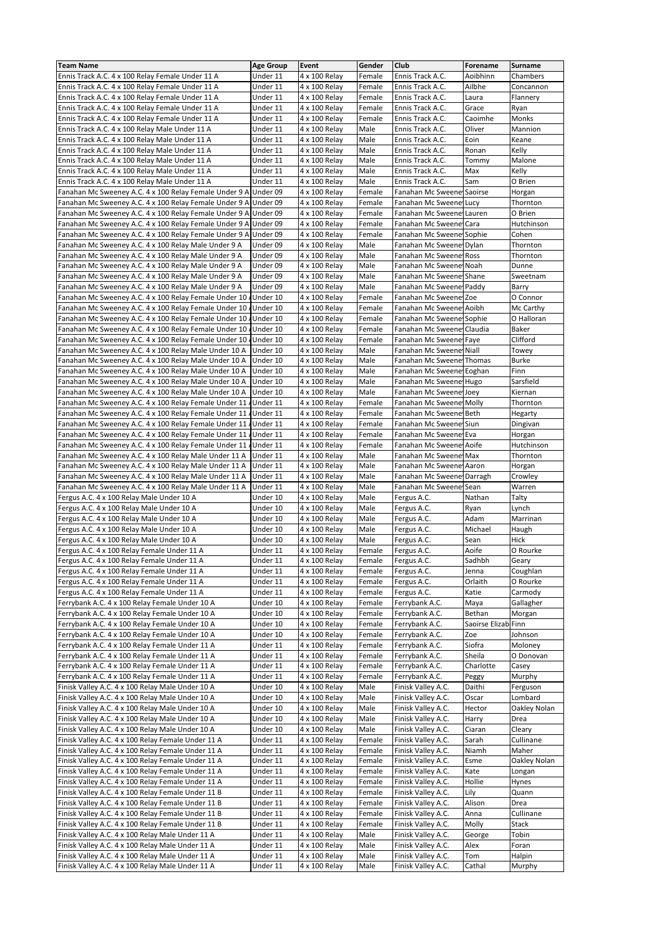| <b>Team Name</b>                                                 | <b>Age Group</b> | Event         | Gender | Club                      | Forename       | Surname        |
|------------------------------------------------------------------|------------------|---------------|--------|---------------------------|----------------|----------------|
|                                                                  |                  |               | Female |                           | Aoibhinn       | Chambers       |
| Ennis Track A.C. 4 x 100 Relay Female Under 11 A                 | Under 11         | 4 x 100 Relay |        | Ennis Track A.C.          |                |                |
| Ennis Track A.C. 4 x 100 Relay Female Under 11 A                 | Under 11         | 4 x 100 Relay | Female | Ennis Track A.C.          | Ailbhe         | Concannon      |
| Ennis Track A.C. 4 x 100 Relay Female Under 11 A                 | Under 11         | 4 x 100 Relay | Female | Ennis Track A.C.          | Laura          | Flannery       |
| Ennis Track A.C. 4 x 100 Relay Female Under 11 A                 | Under 11         | 4 x 100 Relay | Female | Ennis Track A.C.          | Grace          | Ryan           |
| Ennis Track A.C. 4 x 100 Relay Female Under 11 A                 | Under 11         | 4 x 100 Relay | Female | Ennis Track A.C.          | Caoimhe        | Monks          |
|                                                                  |                  |               |        |                           |                |                |
| Ennis Track A.C. 4 x 100 Relay Male Under 11 A                   | Under 11         | 4 x 100 Relay | Male   | Ennis Track A.C.          | Oliver         | <b>Mannion</b> |
| Ennis Track A.C. 4 x 100 Relay Male Under 11 A                   | Under 11         | 4 x 100 Relay | Male   | Ennis Track A.C.          | Eoin           | Keane          |
| Ennis Track A.C. 4 x 100 Relay Male Under 11 A                   | Under 11         | 4 x 100 Relay | Male   | Ennis Track A.C.          | Ronan          | Kelly          |
| Ennis Track A.C. 4 x 100 Relay Male Under 11 A                   | Under 11         | 4 x 100 Relay | Male   | Ennis Track A.C.          | Tommy          | Malone         |
| Ennis Track A.C. 4 x 100 Relay Male Under 11 A                   | Under 11         | 4 x 100 Relay | Male   | Ennis Track A.C.          | Max            | Kelly          |
|                                                                  |                  |               |        |                           |                |                |
| Ennis Track A.C. 4 x 100 Relay Male Under 11 A                   | Under 11         | 4 x 100 Relay | Male   | Ennis Track A.C.          | Sam            | O Brien        |
| Fanahan Mc Sweeney A.C. 4 x 100 Relay Female Under 9 A Under 09  |                  | 4 x 100 Relay | Female | Fanahan Mc Sweene Saoirse |                | Horgan         |
| Fanahan Mc Sweeney A.C. 4 x 100 Relay Female Under 9 A Under 09  |                  | 4 x 100 Relay | Female | Fanahan Mc Sweene Lucy    |                | Thornton       |
| Fanahan Mc Sweeney A.C. 4 x 100 Relay Female Under 9 A Under 09  |                  | 4 x 100 Relay | Female | Fanahan Mc Sweene Lauren  |                | O Brien        |
|                                                                  |                  |               |        |                           |                |                |
| Fanahan Mc Sweeney A.C. 4 x 100 Relay Female Under 9 A Under 09  |                  | 4 x 100 Relay | Female | Fanahan Mc Sweene Cara    |                | Hutchinson     |
| Fanahan Mc Sweeney A.C. 4 x 100 Relay Female Under 9 A           | Under 09         | 4 x 100 Relay | Female | Fanahan Mc Sweene Sophie  |                | Cohen          |
| Fanahan Mc Sweeney A.C. 4 x 100 Relay Male Under 9 A             | Under 09         | 4 x 100 Relay | Male   | Fanahan Mc Sweene Dylan   |                | Thornton       |
| Fanahan Mc Sweeney A.C. 4 x 100 Relay Male Under 9 A             | Under 09         | 4 x 100 Relay | Male   | Fanahan Mc Sweene Ross    |                | Thornton       |
| Fanahan Mc Sweeney A.C. 4 x 100 Relay Male Under 9 A             | Under 09         | 4 x 100 Relay | Male   | Fanahan Mc Sweene Noah    |                | Dunne          |
|                                                                  |                  |               |        |                           |                |                |
| Fanahan Mc Sweeney A.C. 4 x 100 Relay Male Under 9 A             | Under 09         | 4 x 100 Relay | Male   | Fanahan Mc Sweene Shane   |                | Sweetnam       |
| Fanahan Mc Sweeney A.C. 4 x 100 Relay Male Under 9 A             | Under 09         | 4 x 100 Relay | Male   | Fanahan Mc Sweene Paddy   |                | Barry          |
| Fanahan Mc Sweeney A.C. 4 x 100 Relay Female Under 10            | JUnder 10        | 4 x 100 Relay | Female | Fanahan Mc Sweene Zoe     |                | O Connor       |
| Fanahan Mc Sweeney A.C. 4 x 100 Relay Female Under 10 / Under 10 |                  | 4 x 100 Relay | Female | Fanahan Mc Sweene Aoibh   |                | Mc Carthy      |
| Fanahan Mc Sweeney A.C. 4 x 100 Relay Female Under 10 / Under 10 |                  | 4 x 100 Relay | Female | Fanahan Mc Sweene Sophie  |                | O Halloran     |
|                                                                  |                  |               |        |                           |                |                |
| Fanahan Mc Sweeney A.C. 4 x 100 Relay Female Under 10 / Under 10 |                  | 4 x 100 Relay | Female | Fanahan Mc Sweene Claudia |                | Baker          |
| Fanahan Mc Sweeney A.C. 4 x 100 Relay Female Under 10 JUnder 10  |                  | 4 x 100 Relay | Female | Fanahan Mc Sweene Faye    |                | Clifford       |
| Fanahan Mc Sweeney A.C. 4 x 100 Relay Male Under 10 A            | Under 10         | 4 x 100 Relay | Male   | Fanahan Mc Sweene Niall   |                | Towey          |
| Fanahan Mc Sweeney A.C. 4 x 100 Relay Male Under 10 A            | Under 10         | 4 x 100 Relay | Male   | Fanahan Mc Sweene Thomas  |                | <b>Burke</b>   |
| Fanahan Mc Sweeney A.C. 4 x 100 Relay Male Under 10 A            | Under 10         | 4 x 100 Relay | Male   | Fanahan Mc Sweene Eoghan  |                | Finn           |
|                                                                  |                  |               |        |                           |                |                |
| Fanahan Mc Sweeney A.C. 4 x 100 Relay Male Under 10 A            | Under 10         | 4 x 100 Relay | Male   | Fanahan Mc Sweene Hugo    |                | Sarsfield      |
| Fanahan Mc Sweeney A.C. 4 x 100 Relay Male Under 10 A            | Under 10         | 4 x 100 Relay | Male   | Fanahan Mc Sweene Joey    |                | Kiernan        |
| Fanahan Mc Sweeney A.C. 4 x 100 Relay Female Under 11 / Under 11 |                  | 4 x 100 Relay | Female | Fanahan Mc Sweene Molly   |                | Thornton       |
| Fanahan Mc Sweeney A.C. 4 x 100 Relay Female Under 11 JUnder 11  |                  | 4 x 100 Relay | Female | Fanahan Mc Sweene Beth    |                | Hegarty        |
| Fanahan Mc Sweeney A.C. 4 x 100 Relay Female Under 11 AUnder 11  |                  | 4 x 100 Relay | Female | Fanahan Mc Sweene Siun    |                | Dingivan       |
|                                                                  |                  |               |        |                           |                |                |
| Fanahan Mc Sweeney A.C. 4 x 100 Relay Female Under 11            | /Under 11        | 4 x 100 Relay | Female | Fanahan Mc Sweene Eva     |                | Horgan         |
| Fanahan Mc Sweeney A.C. 4 x 100 Relay Female Under 11 / Under 11 |                  | 4 x 100 Relay | Female | Fanahan Mc Sweene Aoife   |                | Hutchinson     |
| Fanahan Mc Sweeney A.C. 4 x 100 Relay Male Under 11 A            | Under 11         | 4 x 100 Relay | Male   | Fanahan Mc Sweene Max     |                | Thornton       |
| Fanahan Mc Sweeney A.C. 4 x 100 Relay Male Under 11 A            | Under 11         | 4 x 100 Relay | Male   | Fanahan Mc Sweene Aaron   |                | Horgan         |
| Fanahan Mc Sweeney A.C. 4 x 100 Relay Male Under 11 A            | Under 11         | 4 x 100 Relay | Male   | Fanahan Mc Sweene Darragh |                | Crowley        |
|                                                                  |                  |               |        |                           |                |                |
| Fanahan Mc Sweeney A.C. 4 x 100 Relay Male Under 11 A            | Under 11         | 4 x 100 Relay | Male   | Fanahan Mc Sweener Sean   |                | Warren         |
| Fergus A.C. 4 x 100 Relay Male Under 10 A                        | Under 10         | 4 x 100 Relay | Male   | Fergus A.C.               | Nathan         | Talty          |
| Fergus A.C. 4 x 100 Relay Male Under 10 A                        | Under 10         | 4 x 100 Relay | Male   | Fergus A.C.               | Ryan           | Lynch          |
| Fergus A.C. 4 x 100 Relay Male Under 10 A                        | Under 10         | 4 x 100 Relay | Male   | Fergus A.C.               | Adam           | Marrinan       |
| Fergus A.C. 4 x 100 Relay Male Under 10 A                        | Under 10         | 4 x 100 Relay | Male   | Fergus A.C.               | Michael        | Haugh          |
|                                                                  |                  |               |        |                           |                |                |
| Fergus A.C. 4 x 100 Relay Male Under 10 A                        | Under 10         | 4 x 100 Relay | Male   | Fergus A.C.               | Sean           | Hick           |
| Fergus A.C. 4 x 100 Relay Female Under 11 A                      | Under 11         | 4 x 100 Relay | Female | Fergus A.C.               | Aoife          | O Rourke       |
| Fergus A.C. 4 x 100 Relay Female Under 11 A                      | Under 11         | 4 x 100 Relay | Female | Fergus A.C.               | Sadhbh         | Geary          |
| Fergus A.C. 4 x 100 Relay Female Under 11 A                      | Under 11         | 4 x 100 Relay | Female | Fergus A.C.               | Jenna          | Coughlan       |
| Fergus A.C. 4 x 100 Relay Female Under 11 A                      | Under 11         | 4 x 100 Relay | Female | Fergus A.C.               | Orlaith        | O Rourke       |
|                                                                  |                  |               |        | Fergus A.C.               |                |                |
| Fergus A.C. 4 x 100 Relay Female Under 11 A                      | Under 11         | 4 x 100 Relay | Female |                           | Katie          | Carmody        |
| Ferrybank A.C. 4 x 100 Relay Female Under 10 A                   | Under 10         | 4 x 100 Relay | Female | Ferrybank A.C.            | Maya           | Gallagher      |
| Ferrybank A.C. 4 x 100 Relay Female Under 10 A                   | Under 10         | 4 x 100 Relay | Female | Ferrybank A.C.            | Bethan         | Morgan         |
| Ferrybank A.C. 4 x 100 Relay Female Under 10 A                   | Under 10         | 4 x 100 Relay | Female | Ferrybank A.C.            | Saoirse Elizab | Finn           |
| Ferrybank A.C. 4 x 100 Relay Female Under 10 A                   | Under 10         | 4 x 100 Relay | Female | Ferrybank A.C.            | Zoe            | Johnson        |
| Ferrybank A.C. 4 x 100 Relay Female Under 11 A                   | Under 11         | 4 x 100 Relay | Female | Ferrybank A.C.            | Siofra         | Moloney        |
|                                                                  |                  |               |        |                           |                |                |
| Ferrybank A.C. 4 x 100 Relay Female Under 11 A                   | Under 11         | 4 x 100 Relay | Female | Ferrybank A.C.            | Sheila         | O Donovan      |
| Ferrybank A.C. 4 x 100 Relay Female Under 11 A                   | Under 11         | 4 x 100 Relay | Female | Ferrybank A.C.            | Charlotte      | Casey          |
| Ferrybank A.C. 4 x 100 Relay Female Under 11 A                   | Under 11         | 4 x 100 Relay | Female | Ferrybank A.C.            | Peggy          | Murphy         |
| Finisk Valley A.C. 4 x 100 Relay Male Under 10 A                 | Under 10         | 4 x 100 Relay | Male   | Finisk Valley A.C.        | Daithi         | Ferguson       |
| Finisk Valley A.C. 4 x 100 Relay Male Under 10 A                 | Under 10         | 4 x 100 Relay | Male   | Finisk Valley A.C.        | Oscar          | Lombard        |
|                                                                  |                  |               |        |                           |                |                |
| Finisk Valley A.C. 4 x 100 Relay Male Under 10 A                 | Under 10         | 4 x 100 Relay | Male   | Finisk Valley A.C.        | Hector         | Oakley Nolan   |
| Finisk Valley A.C. 4 x 100 Relay Male Under 10 A                 | Under 10         | 4 x 100 Relay | Male   | Finisk Valley A.C.        | Harry          | Drea           |
| Finisk Valley A.C. 4 x 100 Relay Male Under 10 A                 | Under 10         | 4 x 100 Relay | Male   | Finisk Valley A.C.        | Ciaran         | Cleary         |
| Finisk Valley A.C. 4 x 100 Relay Female Under 11 A               | Under 11         | 4 x 100 Relay | Female | Finisk Valley A.C.        | Sarah          | Cullinane      |
| Finisk Valley A.C. 4 x 100 Relay Female Under 11 A               | Under 11         | 4 x 100 Relay | Female | Finisk Valley A.C.        | Niamh          | Maher          |
| Finisk Valley A.C. 4 x 100 Relay Female Under 11 A               | Under 11         | 4 x 100 Relay | Female | Finisk Valley A.C.        | Esme           | Oakley Nolan   |
|                                                                  |                  |               |        |                           |                |                |
| Finisk Valley A.C. 4 x 100 Relay Female Under 11 A               | Under 11         | 4 x 100 Relay | Female | Finisk Valley A.C.        | Kate           | Longan         |
| Finisk Valley A.C. 4 x 100 Relay Female Under 11 A               | Under 11         | 4 x 100 Relay | Female | Finisk Valley A.C.        | Hollie         | Hynes          |
| Finisk Valley A.C. 4 x 100 Relay Female Under 11 B               | Under 11         | 4 x 100 Relay | Female | Finisk Valley A.C.        | Lily           | Quann          |
| Finisk Valley A.C. 4 x 100 Relay Female Under 11 B               | Under 11         | 4 x 100 Relay | Female | Finisk Valley A.C.        | Alison         | Drea           |
| Finisk Valley A.C. 4 x 100 Relay Female Under 11 B               | Under 11         | 4 x 100 Relay | Female | Finisk Valley A.C.        | Anna           | Cullinane      |
|                                                                  |                  | 4 x 100 Relay | Female |                           | Molly          | Stack          |
| Finisk Valley A.C. 4 x 100 Relay Female Under 11 B               | Under 11         |               |        | Finisk Valley A.C.        |                |                |
| Finisk Valley A.C. 4 x 100 Relay Male Under 11 A                 | Under 11         | 4 x 100 Relay | Male   | Finisk Valley A.C.        | George         | Tobin          |
| Finisk Valley A.C. 4 x 100 Relay Male Under 11 A                 | Under 11         | 4 x 100 Relay | Male   | Finisk Valley A.C.        | Alex           | Foran          |
| Finisk Valley A.C. 4 x 100 Relay Male Under 11 A                 | Under 11         | 4 x 100 Relay | Male   | Finisk Valley A.C.        | Tom            | Halpin         |
| Finisk Valley A.C. 4 x 100 Relay Male Under 11 A                 | Under 11         | 4 x 100 Relay | Male   | Finisk Valley A.C.        | Cathal         | Murphy         |
|                                                                  |                  |               |        |                           |                |                |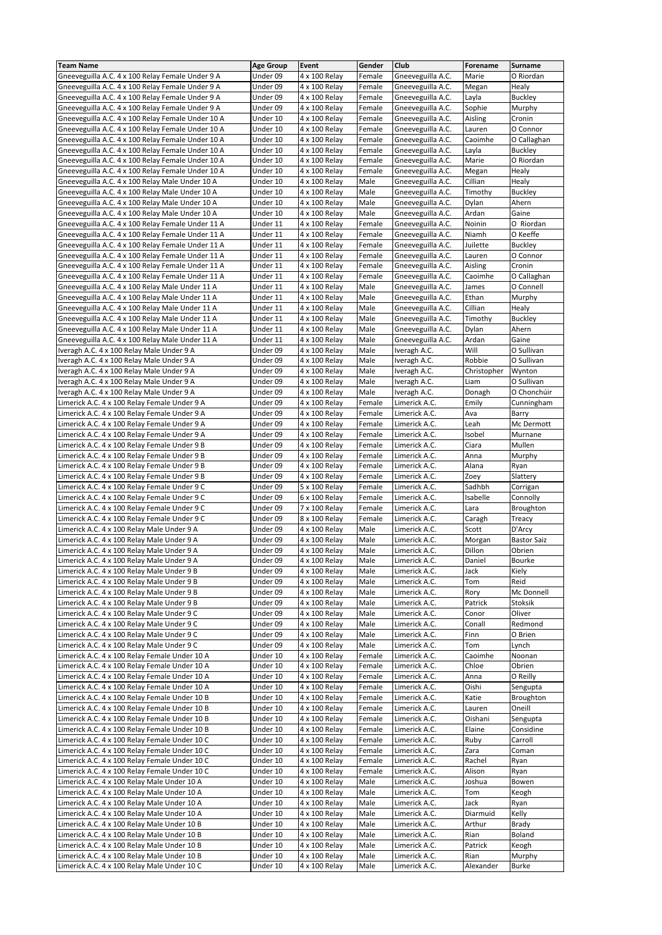| <b>Team Name</b>                                  | <b>Age Group</b> | Event         | Gender | Club              | Forename    | Surname            |
|---------------------------------------------------|------------------|---------------|--------|-------------------|-------------|--------------------|
|                                                   |                  |               |        |                   |             |                    |
| Gneeveguilla A.C. 4 x 100 Relay Female Under 9 A  | Under 09         | 4 x 100 Relay | Female | Gneeveguilla A.C. | Marie       | O Riordan          |
| Gneeveguilla A.C. 4 x 100 Relay Female Under 9 A  | Under 09         | 4 x 100 Relay | Female | Gneeveguilla A.C. | Megan       | Healy              |
| Gneeveguilla A.C. 4 x 100 Relay Female Under 9 A  | Under 09         | 4 x 100 Relay | Female | Gneeveguilla A.C. | Layla       | <b>Buckley</b>     |
| Gneeveguilla A.C. 4 x 100 Relay Female Under 9 A  | Under 09         | 4 x 100 Relay | Female | Gneeveguilla A.C. | Sophie      | Murphy             |
| Gneeveguilla A.C. 4 x 100 Relay Female Under 10 A | Under 10         | 4 x 100 Relay | Female | Gneeveguilla A.C. | Aisling     | Cronin             |
| Gneeveguilla A.C. 4 x 100 Relay Female Under 10 A | Under 10         | 4 x 100 Relay | Female |                   | Lauren      | O Connor           |
|                                                   |                  |               |        | Gneeveguilla A.C. |             |                    |
| Gneeveguilla A.C. 4 x 100 Relay Female Under 10 A | Under 10         | 4 x 100 Relay | Female | Gneeveguilla A.C. | Caoimhe     | O Callaghan        |
| Gneeveguilla A.C. 4 x 100 Relay Female Under 10 A | Under 10         | 4 x 100 Relay | Female | Gneeveguilla A.C. | Layla       | <b>Buckley</b>     |
| Gneeveguilla A.C. 4 x 100 Relay Female Under 10 A | Under 10         | 4 x 100 Relay | Female | Gneeveguilla A.C. | Marie       | O Riordan          |
| Gneeveguilla A.C. 4 x 100 Relay Female Under 10 A | Under 10         | 4 x 100 Relay | Female | Gneeveguilla A.C. | Megan       | Healy              |
| Gneeveguilla A.C. 4 x 100 Relay Male Under 10 A   | Under 10         | 4 x 100 Relay | Male   | Gneeveguilla A.C. | Cillian     | Healy              |
|                                                   |                  |               |        |                   |             |                    |
| Gneeveguilla A.C. 4 x 100 Relay Male Under 10 A   | Under 10         | 4 x 100 Relay | Male   | Gneeveguilla A.C. | Timothy     | <b>Buckley</b>     |
| Gneeveguilla A.C. 4 x 100 Relay Male Under 10 A   | Under 10         | 4 x 100 Relay | Male   | Gneeveguilla A.C. | Dylan       | Ahern              |
| Gneeveguilla A.C. 4 x 100 Relay Male Under 10 A   | Under 10         | 4 x 100 Relay | Male   | Gneeveguilla A.C. | Ardan       | Gaine              |
| Gneeveguilla A.C. 4 x 100 Relay Female Under 11 A | Under 11         | 4 x 100 Relay | Female | Gneeveguilla A.C. | Noinin      | O Riordan          |
| Gneeveguilla A.C. 4 x 100 Relay Female Under 11 A | Under 11         | 4 x 100 Relay | Female | Gneeveguilla A.C. | Niamh       | O Keeffe           |
|                                                   |                  |               |        |                   |             |                    |
| Gneeveguilla A.C. 4 x 100 Relay Female Under 11 A | Under 11         | 4 x 100 Relay | Female | Gneeveguilla A.C. | Juilette    | <b>Buckley</b>     |
| Gneeveguilla A.C. 4 x 100 Relay Female Under 11 A | Under 11         | 4 x 100 Relay | Female | Gneeveguilla A.C. | Lauren      | O Connor           |
| Gneeveguilla A.C. 4 x 100 Relay Female Under 11 A | Under 11         | 4 x 100 Relay | Female | Gneeveguilla A.C. | Aisling     | Cronin             |
| Gneeveguilla A.C. 4 x 100 Relay Female Under 11 A | Under 11         | 4 x 100 Relay | Female | Gneeveguilla A.C. | Caoimhe     | O Callaghan        |
| Gneeveguilla A.C. 4 x 100 Relay Male Under 11 A   | Under 11         | 4 x 100 Relay | Male   | Gneeveguilla A.C. | James       | O Connell          |
|                                                   |                  |               |        |                   |             |                    |
| Gneeveguilla A.C. 4 x 100 Relay Male Under 11 A   | Under 11         | 4 x 100 Relay | Male   | Gneeveguilla A.C. | Ethan       | Murphy             |
| Gneeveguilla A.C. 4 x 100 Relay Male Under 11 A   | Under 11         | 4 x 100 Relay | Male   | Gneeveguilla A.C. | Cillian     | Healy              |
| Gneeveguilla A.C. 4 x 100 Relay Male Under 11 A   | Under 11         | 4 x 100 Relay | Male   | Gneeveguilla A.C. | Timothy     | <b>Buckley</b>     |
| Gneeveguilla A.C. 4 x 100 Relay Male Under 11 A   | Under 11         | 4 x 100 Relay | Male   | Gneeveguilla A.C. | Dylan       | Ahern              |
| Gneeveguilla A.C. 4 x 100 Relay Male Under 11 A   | Under 11         | 4 x 100 Relay | Male   | Gneeveguilla A.C. | Ardan       | Gaine              |
|                                                   |                  |               |        |                   |             |                    |
| Iveragh A.C. 4 x 100 Relay Male Under 9 A         | Under 09         | 4 x 100 Relay | Male   | Iveragh A.C.      | Will        | O Sullivan         |
| Iveragh A.C. 4 x 100 Relay Male Under 9 A         | Under 09         | 4 x 100 Relay | Male   | Iveragh A.C.      | Robbie      | O Sullivan         |
| Iveragh A.C. 4 x 100 Relay Male Under 9 A         | Under 09         | 4 x 100 Relay | Male   | Iveragh A.C.      | Christopher | Wynton             |
| Iveragh A.C. 4 x 100 Relay Male Under 9 A         | Under 09         | 4 x 100 Relay | Male   | Iveragh A.C.      | Liam        | O Sullivan         |
|                                                   |                  |               |        |                   |             | O Chonchúir        |
| Iveragh A.C. 4 x 100 Relay Male Under 9 A         | Under 09         | 4 x 100 Relay | Male   | Iveragh A.C.      | Donagh      |                    |
| Limerick A.C. 4 x 100 Relay Female Under 9 A      | Under 09         | 4 x 100 Relay | Female | Limerick A.C.     | Emily       | Cunningham         |
| Limerick A.C. 4 x 100 Relay Female Under 9 A      | Under 09         | 4 x 100 Relay | Female | Limerick A.C.     | Ava         | Barry              |
| Limerick A.C. 4 x 100 Relay Female Under 9 A      | Under 09         | 4 x 100 Relay | Female | Limerick A.C.     | Leah        | Mc Dermott         |
| Limerick A.C. 4 x 100 Relay Female Under 9 A      | Under 09         | 4 x 100 Relay | Female | Limerick A.C.     | Isobel      | Murnane            |
|                                                   |                  |               |        |                   |             |                    |
| Limerick A.C. 4 x 100 Relay Female Under 9 B      | Under 09         | 4 x 100 Relay | Female | Limerick A.C.     | Ciara       | Mullen             |
| Limerick A.C. 4 x 100 Relay Female Under 9 B      | Under 09         | 4 x 100 Relay | Female | Limerick A.C.     | Anna        | Murphy             |
| Limerick A.C. 4 x 100 Relay Female Under 9 B      | Under 09         | 4 x 100 Relay | Female | Limerick A.C.     | Alana       | Ryan               |
| Limerick A.C. 4 x 100 Relay Female Under 9 B      | Under 09         | 4 x 100 Relay | Female | Limerick A.C.     | Zoey        | Slattery           |
| Limerick A.C. 4 x 100 Relay Female Under 9 C      | Under 09         | 5 x 100 Relay | Female | Limerick A.C.     | Sadhbh      | Corrigan           |
| Limerick A.C. 4 x 100 Relay Female Under 9 C      | Under 09         | 6 x 100 Relay | Female | Limerick A.C.     | Isabelle    | Connolly           |
|                                                   |                  |               |        |                   |             |                    |
| Limerick A.C. 4 x 100 Relay Female Under 9 C      | Under 09         | 7 x 100 Relay | Female | Limerick A.C.     | Lara        | Broughton          |
| Limerick A.C. 4 x 100 Relay Female Under 9 C      | Under 09         | 8 x 100 Relay | Female | Limerick A.C.     | Caragh      | Treacy             |
| Limerick A.C. 4 x 100 Relay Male Under 9 A        | Under 09         | 4 x 100 Relay | Male   | Limerick A.C.     | Scott       | D'Arcy             |
| Limerick A.C. 4 x 100 Relay Male Under 9 A        | Under 09         | 4 x 100 Relay | Male   | Limerick A.C.     | Morgan      | <b>Bastor Saiz</b> |
| Limerick A.C. 4 x 100 Relay Male Under 9 A        | Under 09         | 4 x 100 Relay | Male   | Limerick A.C.     | Dillon      | Obrien             |
|                                                   |                  |               |        |                   |             |                    |
| Limerick A.C. 4 x 100 Relay Male Under 9 A        | Under 09         | 4 x 100 Relay | Male   | Limerick A.C.     | Daniel      | Bourke             |
| Limerick A.C. 4 x 100 Relay Male Under 9 B        | Under 09         | 4 x 100 Relay | Male   | Limerick A.C.     | Jack        | Kiely              |
| Limerick A.C. 4 x 100 Relay Male Under 9 B        | Under 09         | 4 x 100 Relay | Male   | Limerick A.C.     | Tom         | Reid               |
| Limerick A.C. 4 x 100 Relay Male Under 9 B        | Under 09         | 4 x 100 Relay | Male   | Limerick A.C.     | Rory        | Mc Donnell         |
| Limerick A.C. 4 x 100 Relay Male Under 9 B        | Under 09         | 4 x 100 Relay | Male   | Limerick A.C.     | Patrick     | Stoksik            |
|                                                   | Under 09         |               |        | Limerick A.C.     |             | Oliver             |
| Limerick A.C. 4 x 100 Relay Male Under 9 C        |                  | 4 x 100 Relay | Male   |                   | Conor       |                    |
| Limerick A.C. 4 x 100 Relay Male Under 9 C        | Under 09         | 4 x 100 Relay | Male   | Limerick A.C.     | Conall      | Redmond            |
| Limerick A.C. 4 x 100 Relay Male Under 9 C        | Under 09         | 4 x 100 Relay | Male   | Limerick A.C.     | Finn        | O Brien            |
| Limerick A.C. 4 x 100 Relay Male Under 9 C        | Under 09         | 4 x 100 Relay | Male   | Limerick A.C.     | Tom         | Lynch              |
| Limerick A.C. 4 x 100 Relay Female Under 10 A     | Under 10         | 4 x 100 Relay | Female | Limerick A.C.     | Caoimhe     | Noonan             |
|                                                   |                  |               |        |                   |             |                    |
| Limerick A.C. 4 x 100 Relay Female Under 10 A     | Under 10         | 4 x 100 Relay | Female | Limerick A.C.     | Chloe       | Obrien             |
| Limerick A.C. 4 x 100 Relay Female Under 10 A     | Under 10         | 4 x 100 Relay | Female | Limerick A.C.     | Anna        | O Reilly           |
| Limerick A.C. 4 x 100 Relay Female Under 10 A     | Under 10         | 4 x 100 Relay | Female | Limerick A.C.     | Oishi       | Sengupta           |
| Limerick A.C. 4 x 100 Relay Female Under 10 B     | Under 10         | 4 x 100 Relay | Female | Limerick A.C.     | Katie       | Broughton          |
| Limerick A.C. 4 x 100 Relay Female Under 10 B     | Under 10         | 4 x 100 Relay | Female | Limerick A.C.     | Lauren      | Oneill             |
|                                                   |                  |               |        |                   |             |                    |
| Limerick A.C. 4 x 100 Relay Female Under 10 B     | Under 10         | 4 x 100 Relay | Female | Limerick A.C.     | Oishani     | Sengupta           |
| Limerick A.C. 4 x 100 Relay Female Under 10 B     | Under 10         | 4 x 100 Relay | Female | Limerick A.C.     | Elaine      | Considine          |
| Limerick A.C. 4 x 100 Relay Female Under 10 C     | Under 10         | 4 x 100 Relay | Female | Limerick A.C.     | Ruby        | Carroll            |
| Limerick A.C. 4 x 100 Relay Female Under 10 C     | Under 10         | 4 x 100 Relay | Female | Limerick A.C.     | Zara        | Coman              |
| Limerick A.C. 4 x 100 Relay Female Under 10 C     | Under 10         | 4 x 100 Relay | Female | Limerick A.C.     | Rachel      | Ryan               |
|                                                   |                  |               |        |                   |             |                    |
| Limerick A.C. 4 x 100 Relay Female Under 10 C     | Under 10         | 4 x 100 Relay | Female | Limerick A.C.     | Alison      | Ryan               |
| Limerick A.C. 4 x 100 Relay Male Under 10 A       | Under 10         | 4 x 100 Relay | Male   | Limerick A.C.     | Joshua      | Bowen              |
| Limerick A.C. 4 x 100 Relay Male Under 10 A       | Under 10         | 4 x 100 Relay | Male   | Limerick A.C.     | Tom         | Keogh              |
| Limerick A.C. 4 x 100 Relay Male Under 10 A       | Under 10         | 4 x 100 Relay | Male   | Limerick A.C.     | Jack        | Ryan               |
| Limerick A.C. 4 x 100 Relay Male Under 10 A       | Under 10         | 4 x 100 Relay | Male   | Limerick A.C.     | Diarmuid    | Kelly              |
|                                                   |                  |               |        |                   |             |                    |
| Limerick A.C. 4 x 100 Relay Male Under 10 B       | Under 10         | 4 x 100 Relay | Male   | Limerick A.C.     | Arthur      | Brady              |
| Limerick A.C. 4 x 100 Relay Male Under 10 B       | Under 10         | 4 x 100 Relay | Male   | Limerick A.C.     | Rian        | Boland             |
| Limerick A.C. 4 x 100 Relay Male Under 10 B       | Under 10         | 4 x 100 Relay | Male   | Limerick A.C.     | Patrick     | Keogh              |
| Limerick A.C. 4 x 100 Relay Male Under 10 B       | Under 10         | 4 x 100 Relay | Male   | Limerick A.C.     | Rian        | Murphy             |
| Limerick A.C. 4 x 100 Relay Male Under 10 C       | Under 10         | 4 x 100 Relay | Male   | Limerick A.C.     | Alexander   | <b>Burke</b>       |
|                                                   |                  |               |        |                   |             |                    |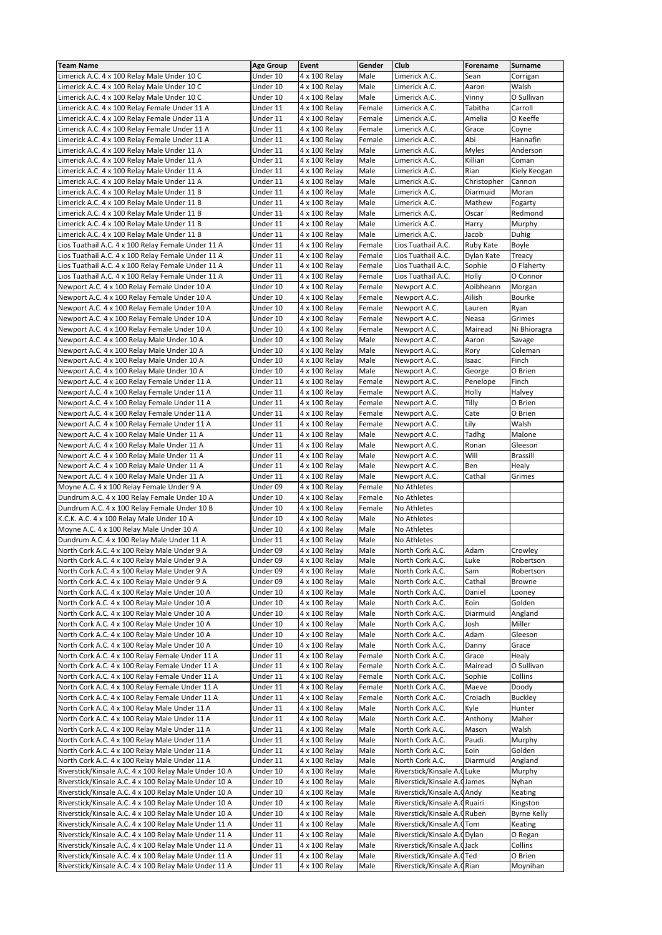| <b>Team Name</b>                                      | <b>Age Group</b> | Event         | Gender | Club                          | Forename     | Surname            |
|-------------------------------------------------------|------------------|---------------|--------|-------------------------------|--------------|--------------------|
|                                                       |                  |               |        |                               |              |                    |
| Limerick A.C. 4 x 100 Relay Male Under 10 C           | Under 10         | 4 x 100 Relay | Male   | Limerick A.C.                 | Sean         | Corrigan           |
| Limerick A.C. 4 x 100 Relay Male Under 10 C           | Under 10         | 4 x 100 Relay | Male   | Limerick A.C.                 | Aaron        | Walsh              |
| Limerick A.C. 4 x 100 Relay Male Under 10 C           | Under 10         | 4 x 100 Relay | Male   | Limerick A.C.                 | Vinny        | O Sullivan         |
|                                                       |                  |               |        |                               |              |                    |
| Limerick A.C. 4 x 100 Relay Female Under 11 A         | Under 11         | 4 x 100 Relay | Female | Limerick A.C.                 | Tabitha      | Carroll            |
| Limerick A.C. 4 x 100 Relay Female Under 11 A         | Under 11         | 4 x 100 Relay | Female | Limerick A.C.                 | Amelia       | O Keeffe           |
| Limerick A.C. 4 x 100 Relay Female Under 11 A         | Under 11         | 4 x 100 Relay | Female | Limerick A.C.                 | Grace        | Coyne              |
|                                                       |                  |               |        |                               |              |                    |
| Limerick A.C. 4 x 100 Relay Female Under 11 A         | Under 11         | 4 x 100 Relay | Female | Limerick A.C.                 | Abi          | Hannafin           |
| Limerick A.C. 4 x 100 Relay Male Under 11 A           | Under 11         | 4 x 100 Relay | Male   | Limerick A.C.                 | <b>Myles</b> | Anderson           |
| Limerick A.C. 4 x 100 Relay Male Under 11 A           | Under 11         | 4 x 100 Relay | Male   | Limerick A.C.                 | Killian      | Coman              |
|                                                       |                  |               |        |                               |              |                    |
| Limerick A.C. 4 x 100 Relay Male Under 11 A           | Under 11         | 4 x 100 Relay | Male   | Limerick A.C.                 | Rian         | Kiely Keogan       |
| Limerick A.C. 4 x 100 Relay Male Under 11 A           | Under 11         | 4 x 100 Relay | Male   | Limerick A.C.                 | Christopher  | Cannon             |
| Limerick A.C. 4 x 100 Relay Male Under 11 B           | Under 11         | 4 x 100 Relay | Male   | Limerick A.C.                 | Diarmuid     | Moran              |
| Limerick A.C. 4 x 100 Relay Male Under 11 B           | Under 11         | 4 x 100 Relay | Male   | Limerick A.C.                 | Mathew       | Fogarty            |
|                                                       |                  |               |        |                               |              |                    |
| Limerick A.C. 4 x 100 Relay Male Under 11 B           | Under 11         | 4 x 100 Relay | Male   | Limerick A.C.                 | Oscar        | Redmond            |
| Limerick A.C. 4 x 100 Relay Male Under 11 B           | Under 11         | 4 x 100 Relay | Male   | Limerick A.C.                 | Harry        | Murphy             |
| Limerick A.C. 4 x 100 Relay Male Under 11 B           | Under 11         | 4 x 100 Relay | Male   | Limerick A.C.                 | Jacob        | Duhig              |
| Lios Tuathail A.C. 4 x 100 Relay Female Under 11 A    |                  | 4 x 100 Relay | Female |                               | Ruby Kate    |                    |
|                                                       | Under 11         |               |        | Lios Tuathail A.C.            |              | Boyle              |
| Lios Tuathail A.C. 4 x 100 Relay Female Under 11 A    | Under 11         | 4 x 100 Relay | Female | Lios Tuathail A.C.            | Dylan Kate   | Treacy             |
| Lios Tuathail A.C. 4 x 100 Relay Female Under 11 A    | Under 11         | 4 x 100 Relay | Female | Lios Tuathail A.C.            | Sophie       | O Flaherty         |
| Lios Tuathail A.C. 4 x 100 Relay Female Under 11 A    | Under 11         | 4 x 100 Relay | Female | Lios Tuathail A.C.            | Holly        | O Connor           |
|                                                       |                  |               |        |                               |              |                    |
| Newport A.C. 4 x 100 Relay Female Under 10 A          | Under 10         | 4 x 100 Relay | Female | Newport A.C.                  | Aoibheann    | Morgan             |
| Newport A.C. 4 x 100 Relay Female Under 10 A          | Under 10         | 4 x 100 Relay | Female | Newport A.C.                  | Ailish       | Bourke             |
| Newport A.C. 4 x 100 Relay Female Under 10 A          | Under 10         | 4 x 100 Relay | Female | Newport A.C.                  | Lauren       | Ryan               |
| Newport A.C. 4 x 100 Relay Female Under 10 A          | Under 10         | 4 x 100 Relay | Female | Newport A.C.                  | Neasa        | Grimes             |
|                                                       |                  |               |        |                               |              |                    |
| Newport A.C. 4 x 100 Relay Female Under 10 A          | Under 10         | 4 x 100 Relay | Female | Newport A.C.                  | Mairead      | Ni Bhioragra       |
| Newport A.C. 4 x 100 Relay Male Under 10 A            | Under 10         | 4 x 100 Relay | Male   | Newport A.C.                  | Aaron        | Savage             |
| Newport A.C. 4 x 100 Relay Male Under 10 A            | Under 10         | 4 x 100 Relay | Male   | Newport A.C.                  | Rory         | Coleman            |
|                                                       |                  |               |        |                               |              |                    |
| Newport A.C. 4 x 100 Relay Male Under 10 A            | Under 10         | 4 x 100 Relav | Male   | Newport A.C.                  | Isaac        | Finch              |
| Newport A.C. 4 x 100 Relay Male Under 10 A            | Under 10         | 4 x 100 Relay | Male   | Newport A.C.                  | George       | O Brien            |
| Newport A.C. 4 x 100 Relay Female Under 11 A          | Under 11         | 4 x 100 Relay | Female | Newport A.C.                  | Penelope     | Finch              |
|                                                       | Under 11         | 4 x 100 Relay | Female | Newport A.C.                  | Holly        |                    |
| Newport A.C. 4 x 100 Relay Female Under 11 A          |                  |               |        |                               |              | Halvey             |
| Newport A.C. 4 x 100 Relay Female Under 11 A          | Under 11         | 4 x 100 Relay | Female | Newport A.C.                  | Tilly        | O Brien            |
| Newport A.C. 4 x 100 Relay Female Under 11 A          | Under 11         | 4 x 100 Relay | Female | Newport A.C.                  | Cate         | O Brien            |
| Newport A.C. 4 x 100 Relay Female Under 11 A          | Under 11         | 4 x 100 Relay | Female | Newport A.C.                  | Lily         | Walsh              |
|                                                       |                  |               |        |                               |              |                    |
| Newport A.C. 4 x 100 Relay Male Under 11 A            | Under 11         | 4 x 100 Relay | Male   | Newport A.C.                  | Tadhg        | Malone             |
| Newport A.C. 4 x 100 Relay Male Under 11 A            | Under 11         | 4 x 100 Relay | Male   | Newport A.C.                  | Ronan        | Gleeson            |
| Newport A.C. 4 x 100 Relay Male Under 11 A            | Under 11         | 4 x 100 Relay | Male   | Newport A.C.                  | Will         | <b>Brassill</b>    |
| Newport A.C. 4 x 100 Relay Male Under 11 A            | Under 11         | 4 x 100 Relay | Male   | Newport A.C.                  | Ben          | Healy              |
|                                                       |                  |               |        |                               |              |                    |
| Newport A.C. 4 x 100 Relay Male Under 11 A            | Under 11         | 4 x 100 Relay | Male   | Newport A.C.                  | Cathal       | Grimes             |
| Moyne A.C. 4 x 100 Relay Female Under 9 A             | Under 09         | 4 x 100 Relay | Female | No Athletes                   |              |                    |
| Dundrum A.C. 4 x 100 Relay Female Under 10 A          | Under 10         | 4 x 100 Relay | Female | No Athletes                   |              |                    |
|                                                       |                  |               |        |                               |              |                    |
| Dundrum A.C. 4 x 100 Relay Female Under 10 B          | Under 10         | 4 x 100 Relay | Female | No Athletes                   |              |                    |
| K.C.K. A.C. 4 x 100 Relay Male Under 10 A             | Under 10         | 4 x 100 Relay | Male   | No Athletes                   |              |                    |
| Moyne A.C. 4 x 100 Relay Male Under 10 A              | Under 10         | 4 x 100 Relay | Male   | No Athletes                   |              |                    |
| Dundrum A.C. 4 x 100 Relay Male Under 11 A            | Under 11         | 4 x 100 Relay | Male   | No Athletes                   |              |                    |
|                                                       |                  |               |        |                               |              |                    |
| North Cork A.C. 4 x 100 Relay Male Under 9 A          | Under 09         | 4 x 100 Relav | Male   | North Cork A.C.               | Adam         | Crowley            |
| North Cork A.C. 4 x 100 Relay Male Under 9 A          | Under 09         | 4 x 100 Relay | Male   | North Cork A.C.               | Luke         | Robertson          |
| North Cork A.C. 4 x 100 Relay Male Under 9 A          | Under 09         | 4 x 100 Relay | Male   | North Cork A.C.               | Sam          | Robertson          |
| North Cork A.C. 4 x 100 Relay Male Under 9 A          |                  | 4 x 100 Relay | Male   | North Cork A.C.               | Cathal       | <b>Browne</b>      |
|                                                       | Under 09         |               |        |                               |              |                    |
| North Cork A.C. 4 x 100 Relay Male Under 10 A         | Under 10         | 4 x 100 Relay | Male   | North Cork A.C.               | Daniel       | Looney             |
| North Cork A.C. 4 x 100 Relay Male Under 10 A         | Under 10         | 4 x 100 Relay | Male   | North Cork A.C.               | Eoin         | Golden             |
| North Cork A.C. 4 x 100 Relay Male Under 10 A         | Under 10         | 4 x 100 Relay | Male   | North Cork A.C.               | Diarmuid     | Angland            |
| North Cork A.C. 4 x 100 Relay Male Under 10 A         |                  |               | Male   |                               | Josh         | Miller             |
|                                                       | Under 10         | 4 x 100 Relay |        | North Cork A.C.               |              |                    |
| North Cork A.C. 4 x 100 Relay Male Under 10 A         | Under 10         | 4 x 100 Relay | Male   | North Cork A.C.               | Adam         | Gleeson            |
| North Cork A.C. 4 x 100 Relay Male Under 10 A         | Under 10         | 4 x 100 Relay | Male   | North Cork A.C.               | Danny        | Grace              |
| North Cork A.C. 4 x 100 Relay Female Under 11 A       | Under 11         | 4 x 100 Relay | Female | North Cork A.C.               | Grace        | Healy              |
|                                                       |                  |               |        |                               |              |                    |
| North Cork A.C. 4 x 100 Relay Female Under 11 A       | Under 11         | 4 x 100 Relay | Female | North Cork A.C.               | Mairead      | O Sullivan         |
| North Cork A.C. 4 x 100 Relay Female Under 11 A       | Under 11         | 4 x 100 Relay | Female | North Cork A.C.               | Sophie       | Collins            |
| North Cork A.C. 4 x 100 Relay Female Under 11 A       | Under 11         | 4 x 100 Relay | Female | North Cork A.C.               | Maeve        | Doody              |
| North Cork A.C. 4 x 100 Relay Female Under 11 A       | Under 11         | 4 x 100 Relay | Female | North Cork A.C.               | Croiadh      | <b>Buckley</b>     |
|                                                       |                  |               |        |                               |              |                    |
| North Cork A.C. 4 x 100 Relay Male Under 11 A         | Under 11         | 4 x 100 Relay | Male   | North Cork A.C.               | Kyle         | Hunter             |
| North Cork A.C. 4 x 100 Relay Male Under 11 A         | Under 11         | 4 x 100 Relay | Male   | North Cork A.C.               | Anthony      | Maher              |
| North Cork A.C. 4 x 100 Relay Male Under 11 A         | Under 11         | 4 x 100 Relay | Male   | North Cork A.C.               | Mason        | Walsh              |
| North Cork A.C. 4 x 100 Relay Male Under 11 A         | Under 11         | 4 x 100 Relay | Male   | North Cork A.C.               | Paudi        | Murphy             |
|                                                       |                  |               |        |                               |              |                    |
| North Cork A.C. 4 x 100 Relay Male Under 11 A         | Under 11         | 4 x 100 Relay | Male   | North Cork A.C.               | Eoin         | Golden             |
| North Cork A.C. 4 x 100 Relay Male Under 11 A         | Under 11         | 4 x 100 Relay | Male   | North Cork A.C.               | Diarmuid     | Angland            |
| Riverstick/Kinsale A.C. 4 x 100 Relay Male Under 10 A | Under 10         | 4 x 100 Relay | Male   | Riverstick/Kinsale A.CLuke    |              | Murphy             |
|                                                       |                  |               |        |                               |              |                    |
| Riverstick/Kinsale A.C. 4 x 100 Relay Male Under 10 A | Under 10         | 4 x 100 Relay | Male   | Riverstick/Kinsale A. James   |              | Nyhan              |
| Riverstick/Kinsale A.C. 4 x 100 Relay Male Under 10 A | Under 10         | 4 x 100 Relay | Male   | Riverstick/Kinsale A. GAndy   |              | Keating            |
| Riverstick/Kinsale A.C. 4 x 100 Relay Male Under 10 A | Under 10         | 4 x 100 Relay | Male   | Riverstick/Kinsale A. CRuairi |              | Kingston           |
| Riverstick/Kinsale A.C. 4 x 100 Relay Male Under 10 A | Under 10         | 4 x 100 Relay | Male   | Riverstick/Kinsale A. CRuben  |              | <b>Byrne Kelly</b> |
|                                                       |                  |               |        |                               |              |                    |
| Riverstick/Kinsale A.C. 4 x 100 Relay Male Under 11 A | Under 11         | 4 x 100 Relay | Male   | Riverstick/Kinsale A. (Tom    |              | Keating            |
| Riverstick/Kinsale A.C. 4 x 100 Relay Male Under 11 A | Under 11         | 4 x 100 Relay | Male   | Riverstick/Kinsale A. (Dylan  |              | O Regan            |
| Riverstick/Kinsale A.C. 4 x 100 Relay Male Under 11 A | Under 11         | 4 x 100 Relay | Male   | Riverstick/Kinsale A. Jack    |              | Collins            |
| Riverstick/Kinsale A.C. 4 x 100 Relay Male Under 11 A | Under 11         | 4 x 100 Relay | Male   | Riverstick/Kinsale A.CTed     |              | O Brien            |
|                                                       |                  |               |        |                               |              |                    |
| Riverstick/Kinsale A.C. 4 x 100 Relay Male Under 11 A | Under 11         | 4 x 100 Relay | Male   | Riverstick/Kinsale A.C Rian   |              | Moynihan           |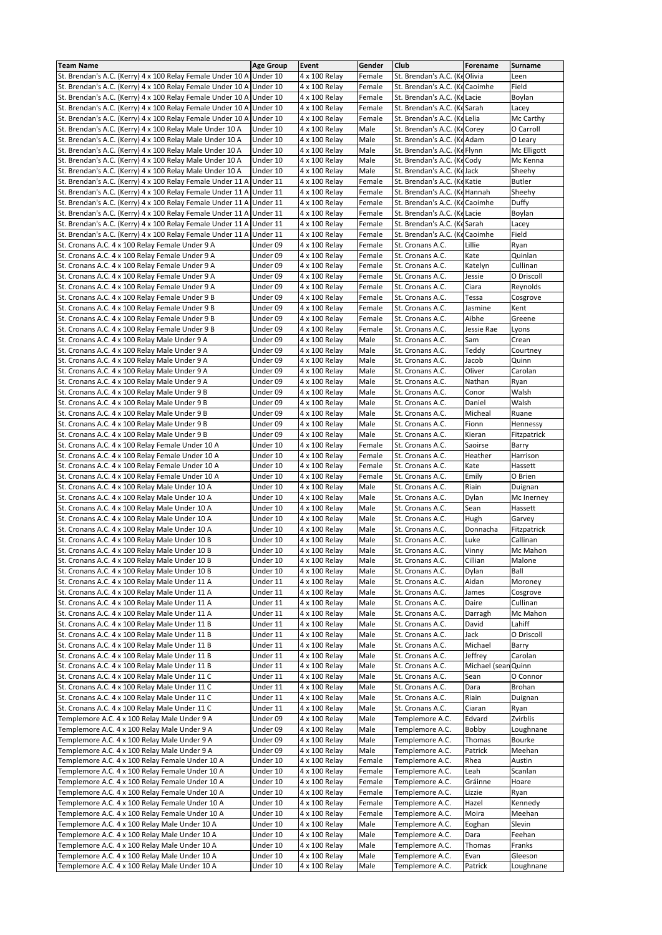| <b>Team Name</b>                                                    | <b>Age Group</b> | Event         | Gender | Club                           | Forename            | Surname       |
|---------------------------------------------------------------------|------------------|---------------|--------|--------------------------------|---------------------|---------------|
| St. Brendan's A.C. (Kerry) 4 x 100 Relay Female Under 10 A Under 10 |                  | 4 x 100 Relay | Female | St. Brendan's A.C. (KeOlivia   |                     | Leen          |
| St. Brendan's A.C. (Kerry) 4 x 100 Relay Female Under 10 A          | Under 10         | 4 x 100 Relay | Female | St. Brendan's A.C. (KeCaoimhe  |                     | Field         |
| St. Brendan's A.C. (Kerry) 4 x 100 Relay Female Under 10 A          | Under 10         | 4 x 100 Relay | Female | St. Brendan's A.C. (Ke Lacie   |                     | Boylan        |
|                                                                     |                  |               |        |                                |                     |               |
| St. Brendan's A.C. (Kerry) 4 x 100 Relay Female Under 10 A          | Under 10         | 4 x 100 Relay | Female | St. Brendan's A.C. (KeSarah    |                     | Lacey         |
| St. Brendan's A.C. (Kerry) 4 x 100 Relay Female Under 10 A          | Under 10         | 4 x 100 Relay | Female | St. Brendan's A.C. (Ke Lelia   |                     | Mc Carthy     |
| St. Brendan's A.C. (Kerry) 4 x 100 Relay Male Under 10 A            | Under 10         | 4 x 100 Relay | Male   | St. Brendan's A.C. (KeCorey    |                     | O Carroll     |
|                                                                     |                  |               |        | St. Brendan's A.C. (KeAdam     |                     |               |
| St. Brendan's A.C. (Kerry) 4 x 100 Relay Male Under 10 A            | Under 10         | 4 x 100 Relay | Male   |                                |                     | O Leary       |
| St. Brendan's A.C. (Kerry) 4 x 100 Relay Male Under 10 A            | Under 10         | 4 x 100 Relay | Male   | St. Brendan's A.C. (KeFlynn    |                     | Mc Elligott   |
| St. Brendan's A.C. (Kerry) 4 x 100 Relay Male Under 10 A            | Under 10         | 4 x 100 Relay | Male   | St. Brendan's A.C. (KeCody     |                     | Mc Kenna      |
| St. Brendan's A.C. (Kerry) 4 x 100 Relay Male Under 10 A            | Under 10         | 4 x 100 Relay | Male   | St. Brendan's A.C. (KeJack     |                     | Sheehy        |
|                                                                     |                  |               |        |                                |                     |               |
| St. Brendan's A.C. (Kerry) 4 x 100 Relay Female Under 11 A          | Under 11         | 4 x 100 Relay | Female | St. Brendan's A.C. (Ke Katie   |                     | <b>Butler</b> |
| St. Brendan's A.C. (Kerry) 4 x 100 Relay Female Under 11 A          | Under 11         | 4 x 100 Relay | Female | St. Brendan's A.C. (KeHannah   |                     | Sheehy        |
| St. Brendan's A.C. (Kerry) 4 x 100 Relay Female Under 11 A          | Under 11         | 4 x 100 Relay | Female | St. Brendan's A.C. (Ke Caoimhe |                     | Duffy         |
| St. Brendan's A.C. (Kerry) 4 x 100 Relay Female Under 11 A          |                  | 4 x 100 Relay | Female | St. Brendan's A.C. (Ke Lacie   |                     |               |
|                                                                     | Under 11         |               |        |                                |                     | Boylan        |
| St. Brendan's A.C. (Kerry) 4 x 100 Relay Female Under 11 A          | Under 11         | 4 x 100 Relay | Female | St. Brendan's A.C. (KeSarah    |                     | Lacey         |
| St. Brendan's A.C. (Kerry) 4 x 100 Relay Female Under 11 A          | Under 11         | 4 x 100 Relay | Female | St. Brendan's A.C. (Ke Caoimhe |                     | Field         |
| St. Cronans A.C. 4 x 100 Relay Female Under 9 A                     | Under 09         | 4 x 100 Relay | Female | St. Cronans A.C.               | Lillie              | Ryan          |
|                                                                     |                  |               |        |                                |                     |               |
| St. Cronans A.C. 4 x 100 Relay Female Under 9 A                     | Under 09         | 4 x 100 Relay | Female | St. Cronans A.C.               | Kate                | Quinlan       |
| St. Cronans A.C. 4 x 100 Relay Female Under 9 A                     | Under 09         | 4 x 100 Relay | Female | St. Cronans A.C.               | Katelyn             | Cullinan      |
| St. Cronans A.C. 4 x 100 Relay Female Under 9 A                     | Under 09         | 4 x 100 Relay | Female | St. Cronans A.C.               | Jessie              | O Driscoll    |
| St. Cronans A.C. 4 x 100 Relay Female Under 9 A                     | Under 09         | 4 x 100 Relay | Female | St. Cronans A.C.               | Ciara               | Reynolds      |
|                                                                     |                  |               |        |                                |                     |               |
| St. Cronans A.C. 4 x 100 Relay Female Under 9 B                     | Under 09         | 4 x 100 Relay | Female | St. Cronans A.C.               | Tessa               | Cosgrove      |
| St. Cronans A.C. 4 x 100 Relay Female Under 9 B                     | Under 09         | 4 x 100 Relay | Female | St. Cronans A.C.               | Jasmine             | Kent          |
| St. Cronans A.C. 4 x 100 Relay Female Under 9 B                     | Under 09         | 4 x 100 Relay | Female | St. Cronans A.C.               | Aibhe               | Greene        |
|                                                                     |                  |               | Female |                                |                     |               |
| St. Cronans A.C. 4 x 100 Relay Female Under 9 B                     | Under 09         | 4 x 100 Relay |        | St. Cronans A.C.               | Jessie Rae          | Lyons         |
| St. Cronans A.C. 4 x 100 Relay Male Under 9 A                       | Under 09         | 4 x 100 Relay | Male   | St. Cronans A.C.               | Sam                 | Crean         |
| St. Cronans A.C. 4 x 100 Relay Male Under 9 A                       | Under 09         | 4 x 100 Relay | Male   | St. Cronans A.C.               | Teddy               | Courtney      |
| St. Cronans A.C. 4 x 100 Relay Male Under 9 A                       | Under 09         | 4 x 100 Relay | Male   | St. Cronans A.C.               | Jacob               | Quinn         |
|                                                                     |                  |               |        |                                |                     |               |
| St. Cronans A.C. 4 x 100 Relay Male Under 9 A                       | Under 09         | 4 x 100 Relay | Male   | St. Cronans A.C.               | Oliver              | Carolan       |
| St. Cronans A.C. 4 x 100 Relay Male Under 9 A                       | Under 09         | 4 x 100 Relay | Male   | St. Cronans A.C.               | Nathan              | Ryan          |
| St. Cronans A.C. 4 x 100 Relay Male Under 9 B                       | Under 09         | 4 x 100 Relay | Male   | St. Cronans A.C.               | Conor               | Walsh         |
|                                                                     |                  |               |        |                                |                     |               |
| St. Cronans A.C. 4 x 100 Relay Male Under 9 B                       | Under 09         | 4 x 100 Relay | Male   | St. Cronans A.C.               | Daniel              | Walsh         |
| St. Cronans A.C. 4 x 100 Relay Male Under 9 B                       | Under 09         | 4 x 100 Relay | Male   | St. Cronans A.C.               | Micheal             | Ruane         |
| St. Cronans A.C. 4 x 100 Relay Male Under 9 B                       | Under 09         | 4 x 100 Relay | Male   | St. Cronans A.C.               | Fionn               | Hennessy      |
| St. Cronans A.C. 4 x 100 Relay Male Under 9 B                       | Under 09         | 4 x 100 Relay | Male   | St. Cronans A.C.               | Kieran              | Fitzpatrick   |
|                                                                     |                  |               |        |                                |                     |               |
| St. Cronans A.C. 4 x 100 Relay Female Under 10 A                    | Under 10         | 4 x 100 Relay | Female | St. Cronans A.C.               | Saoirse             | Barry         |
| St. Cronans A.C. 4 x 100 Relay Female Under 10 A                    | Under 10         | 4 x 100 Relay | Female | St. Cronans A.C.               | Heather             | Harrison      |
| St. Cronans A.C. 4 x 100 Relay Female Under 10 A                    | Under 10         | 4 x 100 Relay | Female | St. Cronans A.C.               | Kate                | Hassett       |
| St. Cronans A.C. 4 x 100 Relay Female Under 10 A                    | Under 10         | 4 x 100 Relay | Female | St. Cronans A.C.               | Emily               | O Brien       |
|                                                                     |                  |               |        |                                |                     |               |
| St. Cronans A.C. 4 x 100 Relay Male Under 10 A                      | Under 10         | 4 x 100 Relay | Male   | St. Cronans A.C.               | Riain               | Duignan       |
| St. Cronans A.C. 4 x 100 Relay Male Under 10 A                      | Under 10         | 4 x 100 Relay | Male   | St. Cronans A.C.               | Dylan               | Mc Inerney    |
| St. Cronans A.C. 4 x 100 Relay Male Under 10 A                      | Under 10         | 4 x 100 Relay | Male   | St. Cronans A.C.               | Sean                | Hassett       |
|                                                                     |                  |               |        |                                |                     |               |
| St. Cronans A.C. 4 x 100 Relay Male Under 10 A                      | Under 10         | 4 x 100 Relay | Male   | St. Cronans A.C.               | Hugh                | Garvey        |
| St. Cronans A.C. 4 x 100 Relay Male Under 10 A                      | Under 10         | 4 x 100 Relay | Male   | St. Cronans A.C.               | Donnacha            | Fitzpatrick   |
| St. Cronans A.C. 4 x 100 Relay Male Under 10 B                      | Under 10         | 4 x 100 Relay | Male   | St. Cronans A.C.               | Luke                | Callinan      |
| St. Cronans A.C. 4 x 100 Relay Male Under 10 B                      | Under 10         | 4 x 100 Relay | Male   | St. Cronans A.C.               | Vinny               | Mc Mahon      |
|                                                                     |                  |               |        |                                |                     |               |
| St. Cronans A.C. 4 x 100 Relay Male Under 10 B                      | Under 10         | 4 x 100 Relay | Male   | St. Cronans A.C.               | Cillian             | Malone        |
| St. Cronans A.C. 4 x 100 Relay Male Under 10 B                      | Under 10         | 4 x 100 Relay | Male   | St. Cronans A.C.               | Dylan               | Ball          |
| St. Cronans A.C. 4 x 100 Relay Male Under 11 A                      | Under 11         | 4 x 100 Relay | Male   | St. Cronans A.C.               | Aidan               | Moroney       |
| St. Cronans A.C. 4 x 100 Relay Male Under 11 A                      | Under 11         | 4 x 100 Relay | Male   | St. Cronans A.C.               | James               | Cosgrove      |
|                                                                     |                  |               |        |                                |                     |               |
| St. Cronans A.C. 4 x 100 Relay Male Under 11 A                      | Under 11         | 4 x 100 Relay | Male   | St. Cronans A.C.               | Daire               | Cullinan      |
| St. Cronans A.C. 4 x 100 Relay Male Under 11 A                      | Under 11         | 4 x 100 Relay | Male   | St. Cronans A.C.               | Darragh             | Mc Mahon      |
| St. Cronans A.C. 4 x 100 Relay Male Under 11 B                      | Under 11         | 4 x 100 Relay | Male   | St. Cronans A.C.               | David               | Lahiff        |
| St. Cronans A.C. 4 x 100 Relay Male Under 11 B                      | Under 11         | 4 x 100 Relay | Male   | St. Cronans A.C.               | Jack                | O Driscoll    |
|                                                                     |                  |               |        |                                |                     |               |
| St. Cronans A.C. 4 x 100 Relay Male Under 11 B                      | Under 11         | 4 x 100 Relay | Male   | St. Cronans A.C.               | Michael             | Barry         |
| St. Cronans A.C. 4 x 100 Relay Male Under 11 B                      | Under 11         | 4 x 100 Relay | Male   | St. Cronans A.C.               | Jeffrey             | Carolan       |
| St. Cronans A.C. 4 x 100 Relay Male Under 11 B                      | Under 11         | 4 x 100 Relay | Male   | St. Cronans A.C.               | Michael (sean Quinn |               |
| St. Cronans A.C. 4 x 100 Relay Male Under 11 C                      | Under 11         | 4 x 100 Relay | Male   | St. Cronans A.C.               | Sean                | O Connor      |
|                                                                     |                  |               |        |                                |                     |               |
| St. Cronans A.C. 4 x 100 Relay Male Under 11 C                      | Under 11         | 4 x 100 Relay | Male   | St. Cronans A.C.               | Dara                | Brohan        |
| St. Cronans A.C. 4 x 100 Relay Male Under 11 C                      | Under 11         | 4 x 100 Relay | Male   | St. Cronans A.C.               | Riain               | Duignan       |
| St. Cronans A.C. 4 x 100 Relay Male Under 11 C                      | Under 11         | 4 x 100 Relay | Male   | St. Cronans A.C.               | Ciaran              | Ryan          |
|                                                                     |                  |               |        |                                |                     |               |
| Templemore A.C. 4 x 100 Relay Male Under 9 A                        | Under 09         | 4 x 100 Relay | Male   | Templemore A.C.                | Edvard              | Zvirblis      |
| Templemore A.C. 4 x 100 Relay Male Under 9 A                        | Under 09         | 4 x 100 Relay | Male   | Templemore A.C.                | Bobby               | Loughnane     |
| Templemore A.C. 4 x 100 Relay Male Under 9 A                        | Under 09         | 4 x 100 Relay | Male   | Templemore A.C.                | Thomas              | Bourke        |
| Templemore A.C. 4 x 100 Relay Male Under 9 A                        | Under 09         | 4 x 100 Relay | Male   | Templemore A.C.                | Patrick             | Meehan        |
|                                                                     |                  |               |        |                                |                     |               |
| Templemore A.C. 4 x 100 Relay Female Under 10 A                     | Under 10         | 4 x 100 Relay | Female | Templemore A.C.                | Rhea                | Austin        |
| Templemore A.C. 4 x 100 Relay Female Under 10 A                     | Under 10         | 4 x 100 Relay | Female | Templemore A.C.                | Leah                | Scanlan       |
| Templemore A.C. 4 x 100 Relay Female Under 10 A                     | Under 10         | 4 x 100 Relay | Female | Templemore A.C.                | Gráinne             | Hoare         |
|                                                                     |                  |               |        | Templemore A.C.                |                     |               |
| Templemore A.C. 4 x 100 Relay Female Under 10 A                     | Under 10         | 4 x 100 Relay | Female |                                | Lizzie              | Ryan          |
| Templemore A.C. 4 x 100 Relay Female Under 10 A                     | Under 10         | 4 x 100 Relay | Female | Templemore A.C.                | Hazel               | Kennedy       |
| Templemore A.C. 4 x 100 Relay Female Under 10 A                     | Under 10         | 4 x 100 Relay | Female | Templemore A.C.                | Moira               | Meehan        |
| Templemore A.C. 4 x 100 Relay Male Under 10 A                       | Under 10         | 4 x 100 Relay | Male   | Templemore A.C.                | Eoghan              | Slevin        |
|                                                                     |                  |               |        |                                |                     |               |
| Templemore A.C. 4 x 100 Relay Male Under 10 A                       | Under 10         | 4 x 100 Relay | Male   | Templemore A.C.                | Dara                | Feehan        |
| Templemore A.C. 4 x 100 Relay Male Under 10 A                       | Under 10         | 4 x 100 Relay | Male   | Templemore A.C.                | Thomas              | Franks        |
| Templemore A.C. 4 x 100 Relay Male Under 10 A                       | Under 10         | 4 x 100 Relay | Male   | Templemore A.C.                | Evan                | Gleeson       |
| Templemore A.C. 4 x 100 Relay Male Under 10 A                       | Under 10         | 4 x 100 Relay | Male   | Templemore A.C.                | Patrick             | Loughnane     |
|                                                                     |                  |               |        |                                |                     |               |